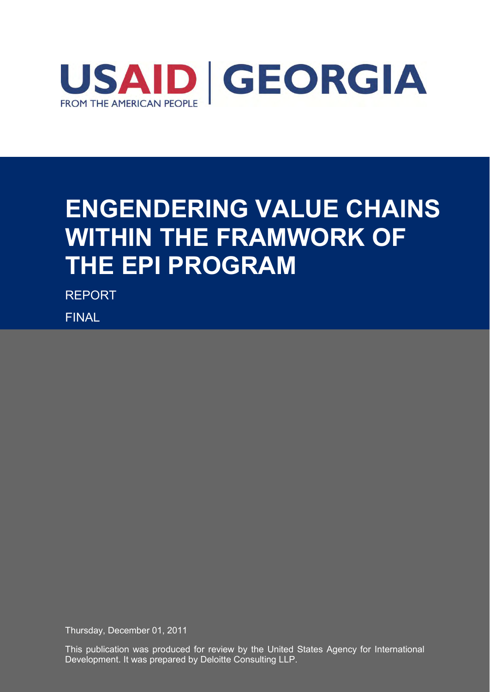

# **ENGENDERING VALUE CHAINS WITHIN THE FRAMWORK OF THE EPI PROGRAM**

REPORT

FINAL

Thursday, December 01, 2011

This publication was produced for review by the United States Agency for International Development. It was prepared by Deloitte Consulting LLP.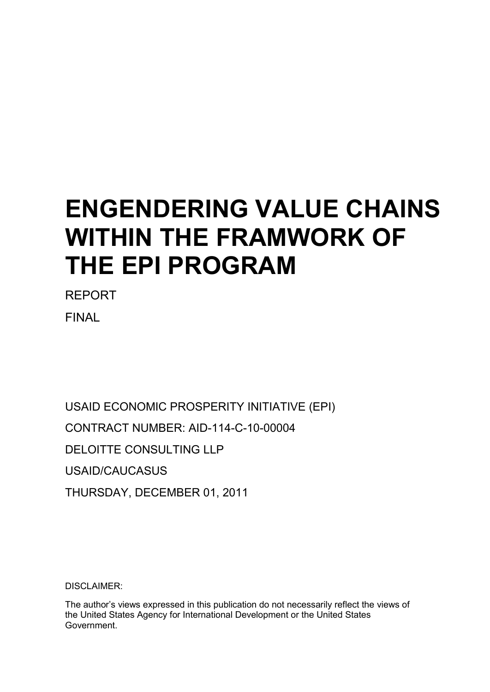# **ENGENDERING VALUE CHAINS WITHIN THE FRAMWORK OF THE EPI PROGRAM**

REPORT FINAL

USAID ECONOMIC PROSPERITY INITIATIVE (EPI) CONTRACT NUMBER: AID-114-C-10-00004 DELOITTE CONSULTING LLP USAID/CAUCASUS THURSDAY, DECEMBER 01, 2011

DISCLAIMER:

The author"s views expressed in this publication do not necessarily reflect the views of the United States Agency for International Development or the United States Government.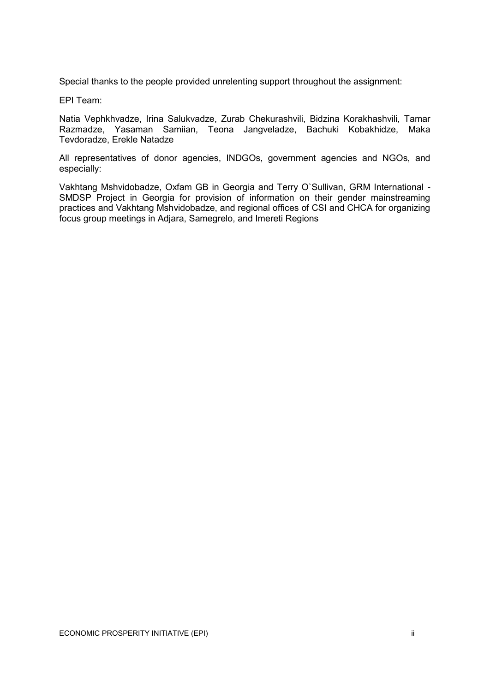Special thanks to the people provided unrelenting support throughout the assignment:

EPI Team:

Natia Vephkhvadze, Irina Salukvadze, Zurab Chekurashvili, Bidzina Korakhashvili, Tamar Razmadze, Yasaman Samiian, Teona Jangveladze, Bachuki Kobakhidze, Maka Tevdoradze, Erekle Natadze

All representatives of donor agencies, INDGOs, government agencies and NGOs, and especially:

Vakhtang Mshvidobadze, Oxfam GB in Georgia and Terry O`Sullivan, GRM International - SMDSP Project in Georgia for provision of information on their gender mainstreaming practices and Vakhtang Mshvidobadze, and regional offices of CSI and CHCA for organizing focus group meetings in Adjara, Samegrelo, and Imereti Regions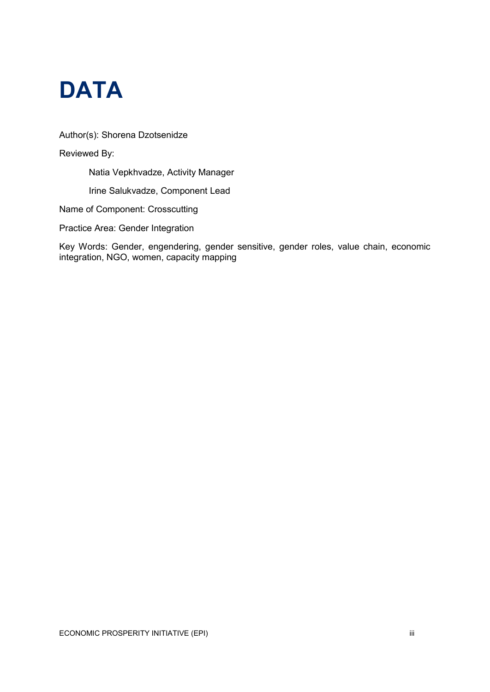

Author(s): Shorena Dzotsenidze

Reviewed By:

Natia Vepkhvadze, Activity Manager

Irine Salukvadze, Component Lead

Name of Component: Crosscutting

Practice Area: Gender Integration

Key Words: Gender, engendering, gender sensitive, gender roles, value chain, economic integration, NGO, women, capacity mapping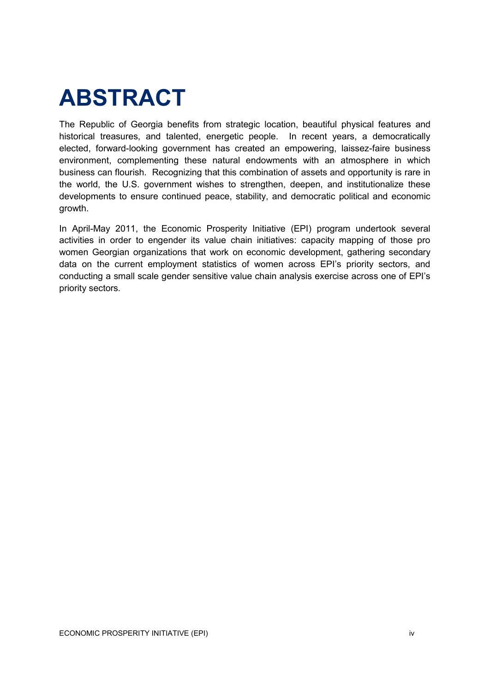# **ABSTRACT**

The Republic of Georgia benefits from strategic location, beautiful physical features and historical treasures, and talented, energetic people. In recent years, a democratically elected, forward-looking government has created an empowering, laissez-faire business environment, complementing these natural endowments with an atmosphere in which business can flourish. Recognizing that this combination of assets and opportunity is rare in the world, the U.S. government wishes to strengthen, deepen, and institutionalize these developments to ensure continued peace, stability, and democratic political and economic growth.

In April-May 2011, the Economic Prosperity Initiative (EPI) program undertook several activities in order to engender its value chain initiatives: capacity mapping of those pro women Georgian organizations that work on economic development, gathering secondary data on the current employment statistics of women across EPI"s priority sectors, and conducting a small scale gender sensitive value chain analysis exercise across one of EPI"s priority sectors.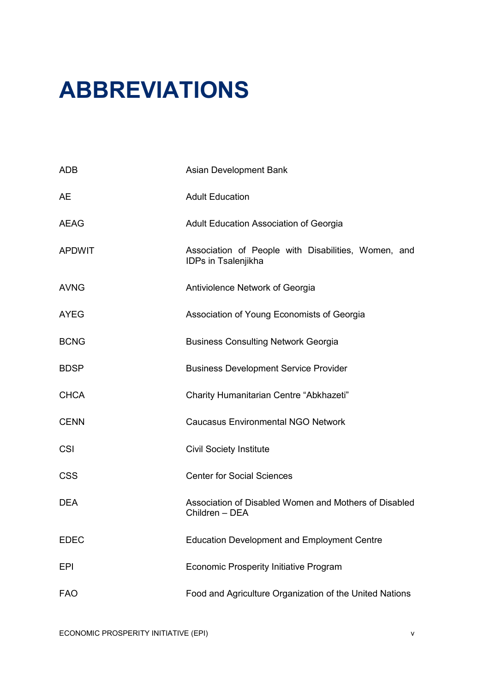# **ABBREVIATIONS**

| <b>ADB</b>    | Asian Development Bank                                                     |  |  |  |  |  |
|---------------|----------------------------------------------------------------------------|--|--|--|--|--|
| AE            | <b>Adult Education</b>                                                     |  |  |  |  |  |
| AEAG          | Adult Education Association of Georgia                                     |  |  |  |  |  |
| <b>APDWIT</b> | Association of People with Disabilities, Women, and<br>IDPs in Tsalenjikha |  |  |  |  |  |
| <b>AVNG</b>   | Antiviolence Network of Georgia                                            |  |  |  |  |  |
| <b>AYEG</b>   | Association of Young Economists of Georgia                                 |  |  |  |  |  |
| <b>BCNG</b>   | <b>Business Consulting Network Georgia</b>                                 |  |  |  |  |  |
| <b>BDSP</b>   | <b>Business Development Service Provider</b>                               |  |  |  |  |  |
| <b>CHCA</b>   | Charity Humanitarian Centre "Abkhazeti"                                    |  |  |  |  |  |
| <b>CENN</b>   | <b>Caucasus Environmental NGO Network</b>                                  |  |  |  |  |  |
| <b>CSI</b>    | <b>Civil Society Institute</b>                                             |  |  |  |  |  |
| <b>CSS</b>    | <b>Center for Social Sciences</b>                                          |  |  |  |  |  |
| <b>DEA</b>    | Association of Disabled Women and Mothers of Disabled<br>Children - DEA    |  |  |  |  |  |
| <b>EDEC</b>   | <b>Education Development and Employment Centre</b>                         |  |  |  |  |  |
| <b>EPI</b>    | <b>Economic Prosperity Initiative Program</b>                              |  |  |  |  |  |
| <b>FAO</b>    | Food and Agriculture Organization of the United Nations                    |  |  |  |  |  |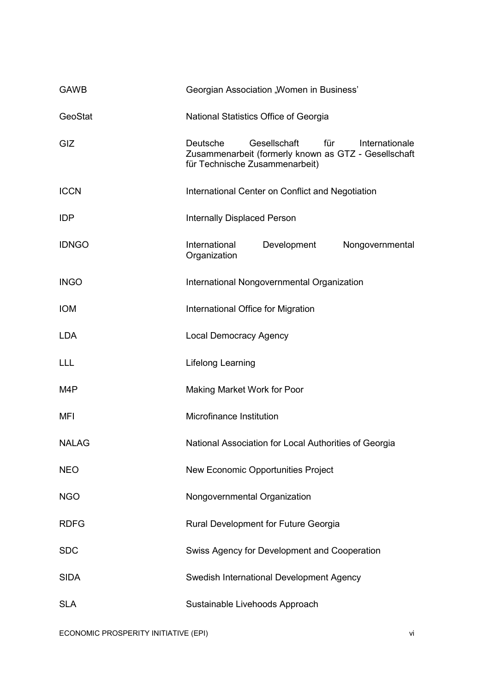| <b>GAWB</b>  | Georgian Association "Women in Business'                                                                                                    |  |  |  |  |
|--------------|---------------------------------------------------------------------------------------------------------------------------------------------|--|--|--|--|
| GeoStat      | National Statistics Office of Georgia                                                                                                       |  |  |  |  |
| GIZ          | Gesellschaft<br>für<br>Deutsche<br>Internationale<br>Zusammenarbeit (formerly known as GTZ - Gesellschaft<br>für Technische Zusammenarbeit) |  |  |  |  |
| <b>ICCN</b>  | International Center on Conflict and Negotiation                                                                                            |  |  |  |  |
| <b>IDP</b>   | <b>Internally Displaced Person</b>                                                                                                          |  |  |  |  |
| <b>IDNGO</b> | International<br>Development<br>Nongovernmental<br>Organization                                                                             |  |  |  |  |
| <b>INGO</b>  | International Nongovernmental Organization                                                                                                  |  |  |  |  |
| <b>IOM</b>   | International Office for Migration                                                                                                          |  |  |  |  |
| <b>LDA</b>   | <b>Local Democracy Agency</b>                                                                                                               |  |  |  |  |
| LLL          | Lifelong Learning                                                                                                                           |  |  |  |  |
| M4P          | Making Market Work for Poor                                                                                                                 |  |  |  |  |
| MFI          | Microfinance Institution                                                                                                                    |  |  |  |  |
| <b>NALAG</b> | National Association for Local Authorities of Georgia                                                                                       |  |  |  |  |
| <b>NEO</b>   | New Economic Opportunities Project                                                                                                          |  |  |  |  |
| <b>NGO</b>   | Nongovernmental Organization                                                                                                                |  |  |  |  |
| <b>RDFG</b>  | Rural Development for Future Georgia                                                                                                        |  |  |  |  |
| <b>SDC</b>   | Swiss Agency for Development and Cooperation                                                                                                |  |  |  |  |
| <b>SIDA</b>  | Swedish International Development Agency                                                                                                    |  |  |  |  |
| <b>SLA</b>   | Sustainable Livehoods Approach                                                                                                              |  |  |  |  |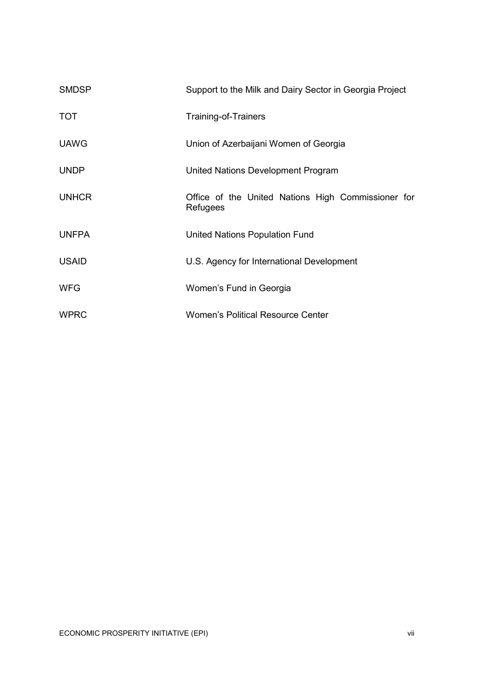| <b>SMDSP</b> | Support to the Milk and Dairy Sector in Georgia Project        |  |  |  |  |
|--------------|----------------------------------------------------------------|--|--|--|--|
| <b>TOT</b>   | Training-of-Trainers                                           |  |  |  |  |
| <b>UAWG</b>  | Union of Azerbaijani Women of Georgia                          |  |  |  |  |
| <b>UNDP</b>  | United Nations Development Program                             |  |  |  |  |
| <b>UNHCR</b> | Office of the United Nations High Commissioner for<br>Refugees |  |  |  |  |
| <b>UNFPA</b> | United Nations Population Fund                                 |  |  |  |  |
| <b>USAID</b> | U.S. Agency for International Development                      |  |  |  |  |
| <b>WFG</b>   | Women's Fund in Georgia                                        |  |  |  |  |
| <b>WPRC</b>  | Women's Political Resource Center                              |  |  |  |  |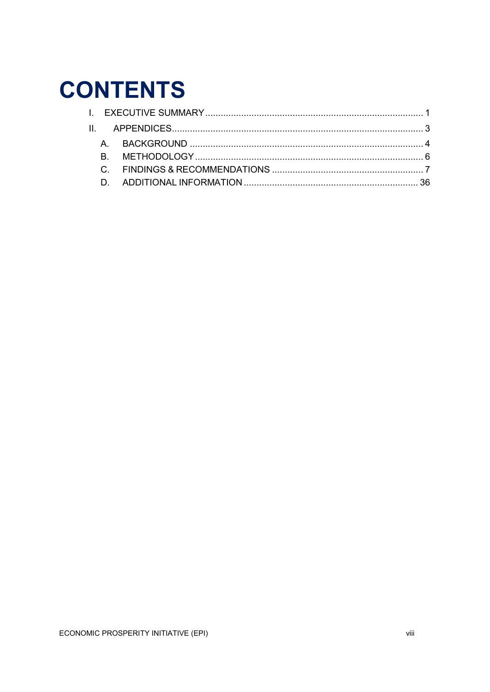# **CONTENTS**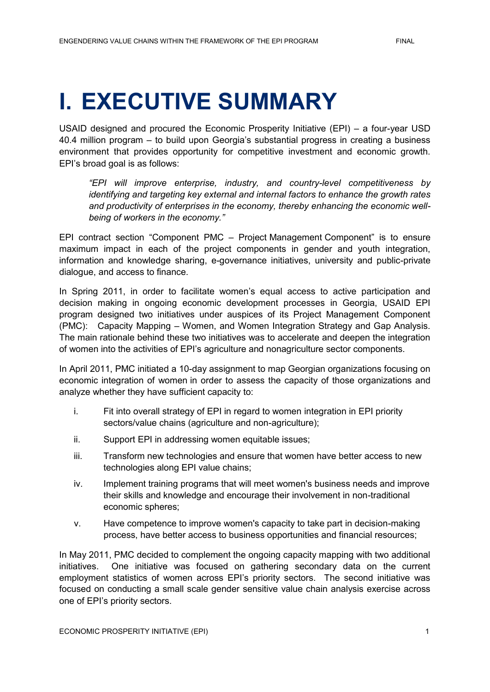# <span id="page-9-0"></span>**I. EXECUTIVE SUMMARY**

USAID designed and procured the Economic Prosperity Initiative (EPI) – a four-year USD 40.4 million program – to build upon Georgia"s substantial progress in creating a business environment that provides opportunity for competitive investment and economic growth. EPI"s broad goal is as follows:

*"EPI will improve enterprise, industry, and country-level competitiveness by identifying and targeting key external and internal factors to enhance the growth rates and productivity of enterprises in the economy, thereby enhancing the economic wellbeing of workers in the economy."* 

EPI contract section "Component PMC – Project Management Component" is to ensure maximum impact in each of the project components in gender and youth integration, information and knowledge sharing, e-governance initiatives, university and public-private dialogue, and access to finance.

In Spring 2011, in order to facilitate women's equal access to active participation and decision making in ongoing economic development processes in Georgia, USAID EPI program designed two initiatives under auspices of its Project Management Component (PMC): Capacity Mapping – Women, and Women Integration Strategy and Gap Analysis. The main rationale behind these two initiatives was to accelerate and deepen the integration of women into the activities of EPI"s agriculture and nonagriculture sector components.

In April 2011, PMC initiated a 10-day assignment to map Georgian organizations focusing on economic integration of women in order to assess the capacity of those organizations and analyze whether they have sufficient capacity to:

- i. Fit into overall strategy of EPI in regard to women integration in EPI priority sectors/value chains (agriculture and non-agriculture);
- ii. Support EPI in addressing women equitable issues;
- iii. Transform new technologies and ensure that women have better access to new technologies along EPI value chains;
- iv. Implement training programs that will meet women's business needs and improve their skills and knowledge and encourage their involvement in non-traditional economic spheres;
- v. Have competence to improve women's capacity to take part in decision-making process, have better access to business opportunities and financial resources;

In May 2011, PMC decided to complement the ongoing capacity mapping with two additional initiatives. One initiative was focused on gathering secondary data on the current employment statistics of women across EPI's priority sectors. The second initiative was focused on conducting a small scale gender sensitive value chain analysis exercise across one of EPI"s priority sectors.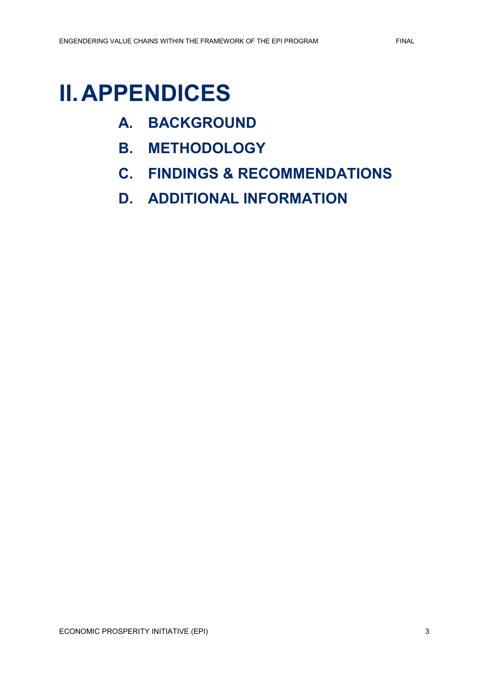## <span id="page-11-0"></span>**II.APPENDICES**

- **A. BACKGROUND**
- **B. METHODOLOGY**
- **C. FINDINGS & RECOMMENDATIONS**
- **D. ADDITIONAL INFORMATION**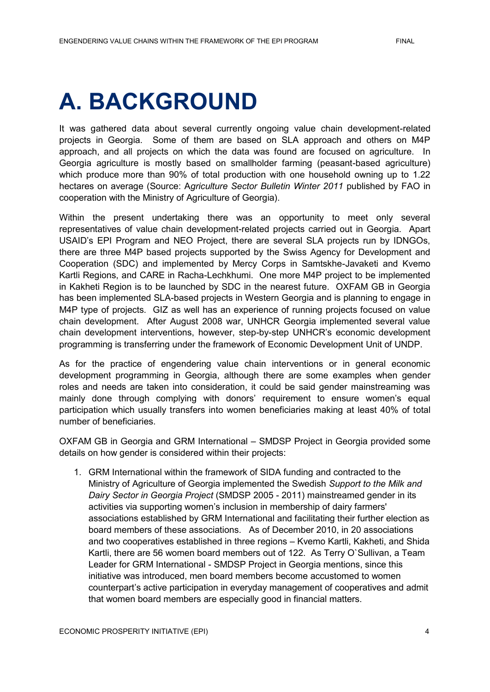# <span id="page-12-0"></span>**A. BACKGROUND**

It was gathered data about several currently ongoing value chain development-related projects in Georgia. Some of them are based on SLA approach and others on M4P approach, and all projects on which the data was found are focused on agriculture. In Georgia agriculture is mostly based on smallholder farming (peasant-based agriculture) which produce more than 90% of total production with one household owning up to 1.22 hectares on average (Source: A*griculture Sector Bulletin Winter 2011* published by FAO in cooperation with the Ministry of Agriculture of Georgia).

Within the present undertaking there was an opportunity to meet only several representatives of value chain development-related projects carried out in Georgia. Apart USAID"s EPI Program and NEO Project, there are several SLA projects run by IDNGOs, there are three M4P based projects supported by the Swiss Agency for Development and Cooperation (SDC) and implemented by Mercy Corps in Samtskhe-Javaketi and Kvemo Kartli Regions, and CARE in Racha-Lechkhumi. One more M4P project to be implemented in Kakheti Region is to be launched by SDC in the nearest future. OXFAM GB in Georgia has been implemented SLA-based projects in Western Georgia and is planning to engage in M4P type of projects. GIZ as well has an experience of running projects focused on value chain development. After August 2008 war, UNHCR Georgia implemented several value chain development interventions, however, step-by-step UNHCR"s economic development programming is transferring under the framework of Economic Development Unit of UNDP.

As for the practice of engendering value chain interventions or in general economic development programming in Georgia, although there are some examples when gender roles and needs are taken into consideration, it could be said gender mainstreaming was mainly done through complying with donors' requirement to ensure women's equal participation which usually transfers into women beneficiaries making at least 40% of total number of beneficiaries.

OXFAM GB in Georgia and GRM International – SMDSP Project in Georgia provided some details on how gender is considered within their projects:

1. GRM International within the framework of SIDA funding and contracted to the Ministry of Agriculture of Georgia implemented the Swedish *Support to the Milk and Dairy Sector in Georgia Project* (SMDSP 2005 - 2011) mainstreamed gender in its activities via supporting women"s inclusion in membership of dairy farmers' associations established by GRM International and facilitating their further election as board members of these associations. As of December 2010, in 20 associations and two cooperatives established in three regions – Kvemo Kartli, Kakheti, and Shida Kartli, there are 56 women board members out of 122. As Terry O`Sullivan, a Team Leader for GRM International - SMDSP Project in Georgia mentions, since this initiative was introduced, men board members become accustomed to women counterpart"s active participation in everyday management of cooperatives and admit that women board members are especially good in financial matters.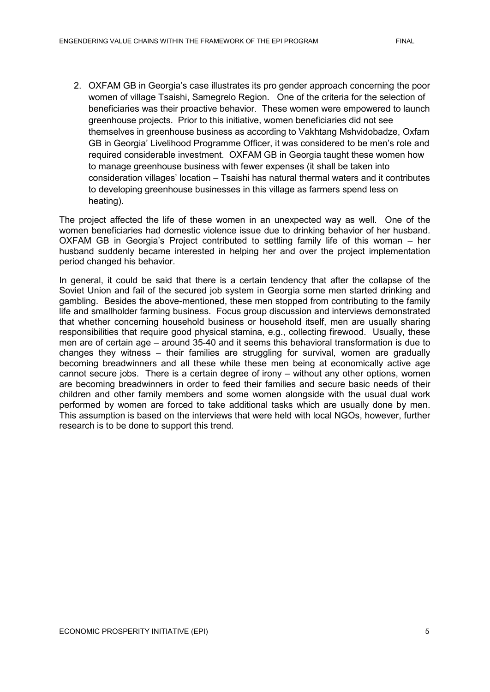2. OXFAM GB in Georgia"s case illustrates its pro gender approach concerning the poor women of village Tsaishi, Samegrelo Region. One of the criteria for the selection of beneficiaries was their proactive behavior. These women were empowered to launch greenhouse projects. Prior to this initiative, women beneficiaries did not see themselves in greenhouse business as according to Vakhtang Mshvidobadze, Oxfam GB in Georgia" Livelihood Programme Officer, it was considered to be men"s role and required considerable investment. OXFAM GB in Georgia taught these women how to manage greenhouse business with fewer expenses (it shall be taken into consideration villages" location – Tsaishi has natural thermal waters and it contributes to developing greenhouse businesses in this village as farmers spend less on heating).

The project affected the life of these women in an unexpected way as well. One of the women beneficiaries had domestic violence issue due to drinking behavior of her husband. OXFAM GB in Georgia"s Project contributed to settling family life of this woman – her husband suddenly became interested in helping her and over the project implementation period changed his behavior.

In general, it could be said that there is a certain tendency that after the collapse of the Soviet Union and fail of the secured job system in Georgia some men started drinking and gambling. Besides the above-mentioned, these men stopped from contributing to the family life and smallholder farming business. Focus group discussion and interviews demonstrated that whether concerning household business or household itself, men are usually sharing responsibilities that require good physical stamina, e.g., collecting firewood. Usually, these men are of certain age – around 35-40 and it seems this behavioral transformation is due to changes they witness – their families are struggling for survival, women are gradually becoming breadwinners and all these while these men being at economically active age cannot secure jobs. There is a certain degree of irony – without any other options, women are becoming breadwinners in order to feed their families and secure basic needs of their children and other family members and some women alongside with the usual dual work performed by women are forced to take additional tasks which are usually done by men. This assumption is based on the interviews that were held with local NGOs, however, further research is to be done to support this trend.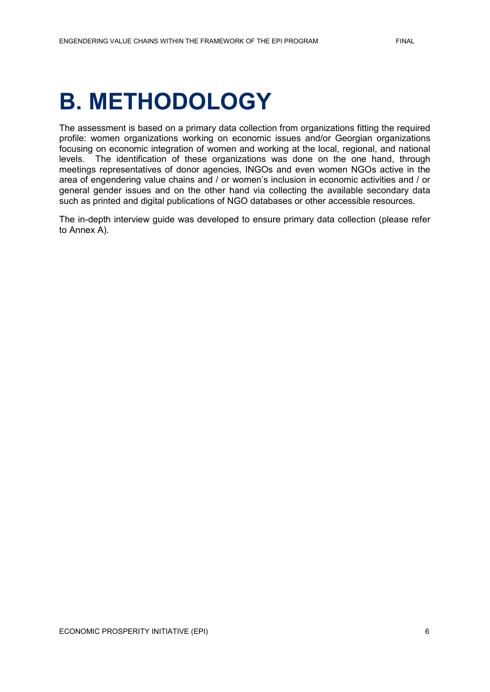# <span id="page-14-0"></span>**B. METHODOLOGY**

The assessment is based on a primary data collection from organizations fitting the required profile: women organizations working on economic issues and/or Georgian organizations focusing on economic integration of women and working at the local, regional, and national levels. The identification of these organizations was done on the one hand, through meetings representatives of donor agencies, INGOs and even women NGOs active in the area of engendering value chains and / or women"s inclusion in economic activities and / or general gender issues and on the other hand via collecting the available secondary data such as printed and digital publications of NGO databases or other accessible resources.

The in-depth interview guide was developed to ensure primary data collection (please refer to Annex A).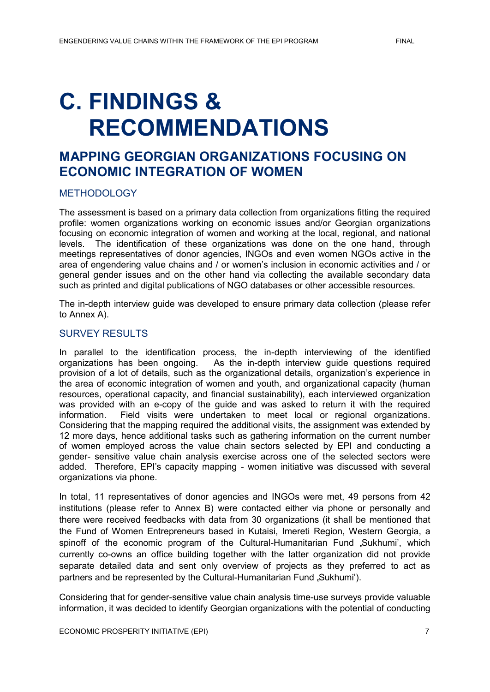# <span id="page-15-0"></span>**C. FINDINGS & RECOMMENDATIONS**

## **MAPPING GEORGIAN ORGANIZATIONS FOCUSING ON ECONOMIC INTEGRATION OF WOMEN**

#### METHODOLOGY

The assessment is based on a primary data collection from organizations fitting the required profile: women organizations working on economic issues and/or Georgian organizations focusing on economic integration of women and working at the local, regional, and national levels. The identification of these organizations was done on the one hand, through meetings representatives of donor agencies, INGOs and even women NGOs active in the area of engendering value chains and / or women"s inclusion in economic activities and / or general gender issues and on the other hand via collecting the available secondary data such as printed and digital publications of NGO databases or other accessible resources.

The in-depth interview guide was developed to ensure primary data collection (please refer to Annex A).

#### SURVEY RESULTS

In parallel to the identification process, the in-depth interviewing of the identified organizations has been ongoing. As the in-depth interview guide questions required provision of a lot of details, such as the organizational details, organization"s experience in the area of economic integration of women and youth, and organizational capacity (human resources, operational capacity, and financial sustainability), each interviewed organization was provided with an e-copy of the guide and was asked to return it with the required information. Field visits were undertaken to meet local or regional organizations. Considering that the mapping required the additional visits, the assignment was extended by 12 more days, hence additional tasks such as gathering information on the current number of women employed across the value chain sectors selected by EPI and conducting a gender- sensitive value chain analysis exercise across one of the selected sectors were added. Therefore, EPI"s capacity mapping - women initiative was discussed with several organizations via phone.

In total, 11 representatives of donor agencies and INGOs were met, 49 persons from 42 institutions (please refer to Annex B) were contacted either via phone or personally and there were received feedbacks with data from 30 organizations (it shall be mentioned that the Fund of Women Entrepreneurs based in Kutaisi, Imereti Region, Western Georgia, a spinoff of the economic program of the Cultural-Humanitarian Fund "Sukhumi", which currently co-owns an office building together with the latter organization did not provide separate detailed data and sent only overview of projects as they preferred to act as partners and be represented by the Cultural-Humanitarian Fund "Sukhumi').

Considering that for gender-sensitive value chain analysis time-use surveys provide valuable information, it was decided to identify Georgian organizations with the potential of conducting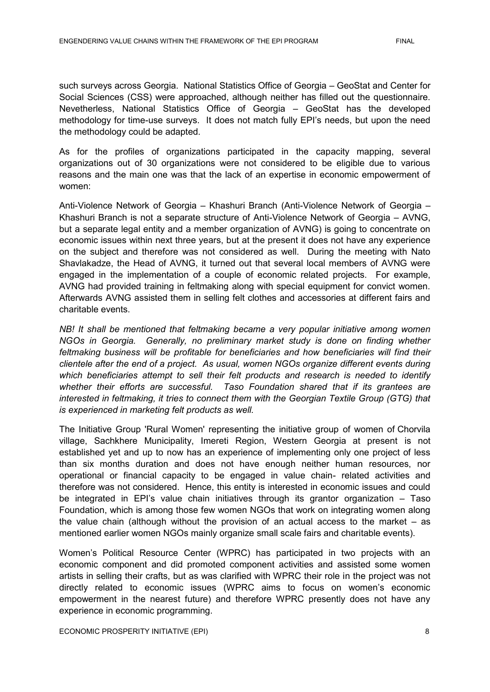such surveys across Georgia. National Statistics Office of Georgia – GeoStat and Center for Social Sciences (CSS) were approached, although neither has filled out the questionnaire. Nevetherless, National Statistics Office of Georgia – GeoStat has the developed methodology for time-use surveys. It does not match fully EPI's needs, but upon the need the methodology could be adapted.

As for the profiles of organizations participated in the capacity mapping, several organizations out of 30 organizations were not considered to be eligible due to various reasons and the main one was that the lack of an expertise in economic empowerment of women:

Anti-Violence Network of Georgia – Khashuri Branch (Anti-Violence Network of Georgia – Khashuri Branch is not a separate structure of Anti-Violence Network of Georgia – AVNG, but a separate legal entity and a member organization of AVNG) is going to concentrate on economic issues within next three years, but at the present it does not have any experience on the subject and therefore was not considered as well. During the meeting with Nato Shavlakadze, the Head of AVNG, it turned out that several local members of AVNG were engaged in the implementation of a couple of economic related projects. For example, AVNG had provided training in feltmaking along with special equipment for convict women. Afterwards AVNG assisted them in selling felt clothes and accessories at different fairs and charitable events.

*NB! It shall be mentioned that feltmaking became a very popular initiative among women NGOs in Georgia. Generally, no preliminary market study is done on finding whether feltmaking business will be profitable for beneficiaries and how beneficiaries will find their clientele after the end of a project. As usual, women NGOs organize different events during which beneficiaries attempt to sell their felt products and research is needed to identify whether their efforts are successful. Taso Foundation shared that if its grantees are interested in feltmaking, it tries to connect them with the Georgian Textile Group (GTG) that is experienced in marketing felt products as well.* 

The Initiative Group 'Rural Women' representing the initiative group of women of Chorvila village, Sachkhere Municipality, Imereti Region, Western Georgia at present is not established yet and up to now has an experience of implementing only one project of less than six months duration and does not have enough neither human resources, nor operational or financial capacity to be engaged in value chain- related activities and therefore was not considered. Hence, this entity is interested in economic issues and could be integrated in EPI's value chain initiatives through its grantor organization  $-$  Taso Foundation, which is among those few women NGOs that work on integrating women along the value chain (although without the provision of an actual access to the market – as mentioned earlier women NGOs mainly organize small scale fairs and charitable events).

Women"s Political Resource Center (WPRC) has participated in two projects with an economic component and did promoted component activities and assisted some women artists in selling their crafts, but as was clarified with WPRC their role in the project was not directly related to economic issues (WPRC aims to focus on women"s economic empowerment in the nearest future) and therefore WPRC presently does not have any experience in economic programming.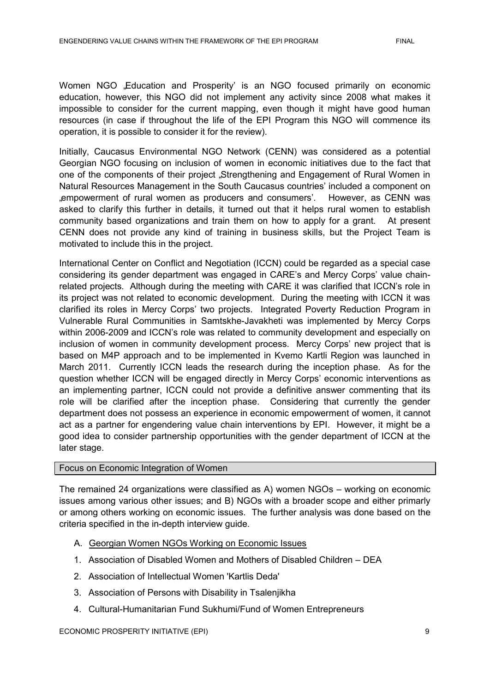Women NGO "Education and Prosperity' is an NGO focused primarily on economic education, however, this NGO did not implement any activity since 2008 what makes it impossible to consider for the current mapping, even though it might have good human resources (in case if throughout the life of the EPI Program this NGO will commence its operation, it is possible to consider it for the review).

Initially, Caucasus Environmental NGO Network (CENN) was considered as a potential Georgian NGO focusing on inclusion of women in economic initiatives due to the fact that one of the components of their project "Strengthening and Engagement of Rural Women in Natural Resources Management in the South Caucasus countries" included a component on "empowerment of rural women as producers and consumers". However, as CENN was asked to clarify this further in details, it turned out that it helps rural women to establish community based organizations and train them on how to apply for a grant. At present CENN does not provide any kind of training in business skills, but the Project Team is motivated to include this in the project.

International Center on Conflict and Negotiation (ICCN) could be regarded as a special case considering its gender department was engaged in CARE"s and Mercy Corps" value chainrelated projects. Although during the meeting with CARE it was clarified that ICCN"s role in its project was not related to economic development. During the meeting with ICCN it was clarified its roles in Mercy Corps" two projects. Integrated Poverty Reduction Program in Vulnerable Rural Communities in Samtskhe-Javakheti was implemented by Mercy Corps within 2006-2009 and ICCN"s role was related to community development and especially on inclusion of women in community development process. Mercy Corps' new project that is based on M4P approach and to be implemented in Kvemo Kartli Region was launched in March 2011. Currently ICCN leads the research during the inception phase. As for the question whether ICCN will be engaged directly in Mercy Corps" economic interventions as an implementing partner, ICCN could not provide a definitive answer commenting that its role will be clarified after the inception phase. Considering that currently the gender department does not possess an experience in economic empowerment of women, it cannot act as a partner for engendering value chain interventions by EPI. However, it might be a good idea to consider partnership opportunities with the gender department of ICCN at the later stage.

#### Focus on Economic Integration of Women

The remained 24 organizations were classified as A) women NGOs – working on economic issues among various other issues; and B) NGOs with a broader scope and either primarly or among others working on economic issues. The further analysis was done based on the criteria specified in the in-depth interview guide.

- A. Georgian Women NGOs Working on Economic Issues
- 1. Association of Disabled Women and Mothers of Disabled Children DEA
- 2. Association of Intellectual Women 'Kartlis Deda'
- 3. Association of Persons with Disability in Tsalenjikha
- 4. Cultural-Humanitarian Fund Sukhumi/Fund of Women Entrepreneurs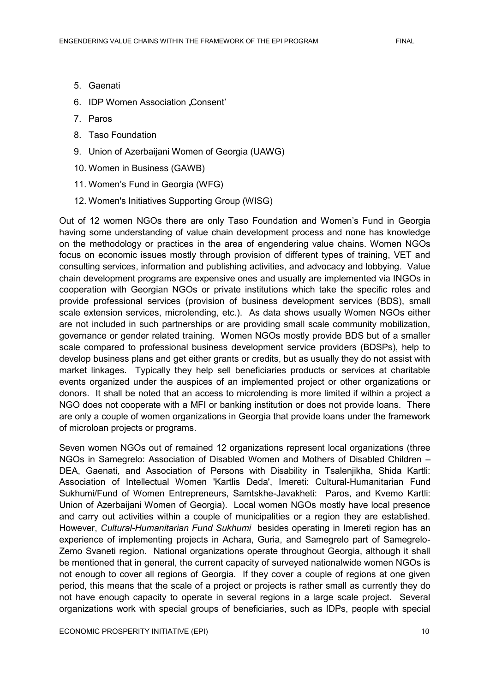- 5. Gaenati
- 6. **IDP Women Association "Consent**"
- 7. Paros
- 8. Taso Foundation
- 9. Union of Azerbaijani Women of Georgia (UAWG)
- 10. Women in Business (GAWB)
- 11. Women"s Fund in Georgia (WFG)
- 12. Women's Initiatives Supporting Group (WISG)

Out of 12 women NGOs there are only Taso Foundation and Women"s Fund in Georgia having some understanding of value chain development process and none has knowledge on the methodology or practices in the area of engendering value chains. Women NGOs focus on economic issues mostly through provision of different types of training, VET and consulting services, information and publishing activities, and advocacy and lobbying. Value chain development programs are expensive ones and usually are implemented via INGOs in cooperation with Georgian NGOs or private institutions which take the specific roles and provide professional services (provision of business development services (BDS), small scale extension services, microlending, etc.). As data shows usually Women NGOs either are not included in such partnerships or are providing small scale community mobilization, governance or gender related training. Women NGOs mostly provide BDS but of a smaller scale compared to professional business development service providers (BDSPs), help to develop business plans and get either grants or credits, but as usually they do not assist with market linkages. Typically they help sell beneficiaries products or services at charitable events organized under the auspices of an implemented project or other organizations or donors. It shall be noted that an access to microlending is more limited if within a project a NGO does not cooperate with a MFI or banking institution or does not provide loans. There are only a couple of women organizations in Georgia that provide loans under the framework of microloan projects or programs.

Seven women NGOs out of remained 12 organizations represent local organizations (three NGOs in Samegrelo: Association of Disabled Women and Mothers of Disabled Children – DEA, Gaenati, and Association of Persons with Disability in Tsalenjikha, Shida Kartli: Association of Intellectual Women 'Kartlis Deda', Imereti: Cultural-Humanitarian Fund Sukhumi/Fund of Women Entrepreneurs, Samtskhe-Javakheti: Paros, and Kvemo Kartli: Union of Azerbaijani Women of Georgia). Local women NGOs mostly have local presence and carry out activities within a couple of municipalities or a region they are established. However, *Cultural-Humanitarian Fund Sukhumi* besides operating in Imereti region has an experience of implementing projects in Achara, Guria, and Samegrelo part of Samegrelo-Zemo Svaneti region. National organizations operate throughout Georgia, although it shall be mentioned that in general, the current capacity of surveyed nationalwide women NGOs is not enough to cover all regions of Georgia. If they cover a couple of regions at one given period, this means that the scale of a project or projects is rather small as currently they do not have enough capacity to operate in several regions in a large scale project. Several organizations work with special groups of beneficiaries, such as IDPs, people with special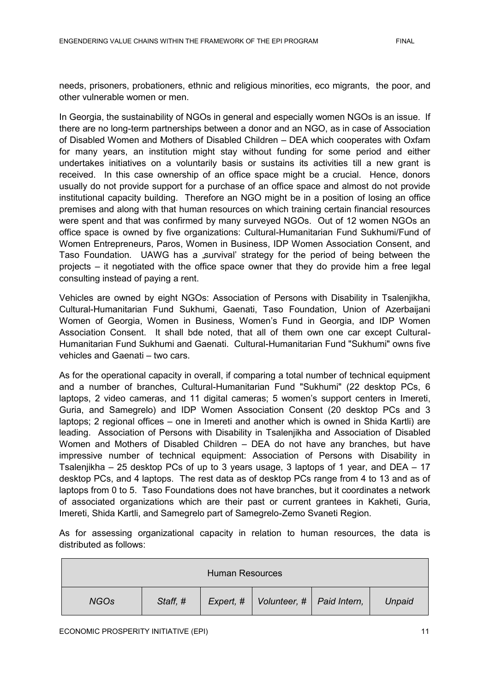needs, prisoners, probationers, ethnic and religious minorities, eco migrants, the poor, and other vulnerable women or men.

In Georgia, the sustainability of NGOs in general and especially women NGOs is an issue. If there are no long-term partnerships between a donor and an NGO, as in case of Association of Disabled Women and Mothers of Disabled Children – DEA which cooperates with Oxfam for many years, an institution might stay without funding for some period and either undertakes initiatives on a voluntarily basis or sustains its activities till a new grant is received. In this case ownership of an office space might be a crucial. Hence, donors usually do not provide support for a purchase of an office space and almost do not provide institutional capacity building. Therefore an NGO might be in a position of losing an office premises and along with that human resources on which training certain financial resources were spent and that was confirmed by many surveyed NGOs. Out of 12 women NGOs an office space is owned by five organizations: Cultural-Humanitarian Fund Sukhumi/Fund of Women Entrepreneurs, Paros, Women in Business, IDP Women Association Consent, and Taso Foundation. UAWG has a survival' strategy for the period of being between the projects – it negotiated with the office space owner that they do provide him a free legal consulting instead of paying a rent.

Vehicles are owned by eight NGOs: Association of Persons with Disability in Tsalenjikha, Cultural-Humanitarian Fund Sukhumi, Gaenati, Taso Foundation, Union of Azerbaijani Women of Georgia, Women in Business, Women"s Fund in Georgia, and IDP Women Association Consent. It shall bde noted, that all of them own one car except Cultural-Humanitarian Fund Sukhumi and Gaenati. Cultural-Humanitarian Fund "Sukhumi" owns five vehicles and Gaenati – two cars.

As for the operational capacity in overall, if comparing a total number of technical equipment and a number of branches, Cultural-Humanitarian Fund "Sukhumi" (22 desktop PCs, 6 laptops, 2 video cameras, and 11 digital cameras; 5 women"s support centers in Imereti, Guria, and Samegrelo) and IDP Women Association Consent (20 desktop PCs and 3 laptops; 2 regional offices – one in Imereti and another which is owned in Shida Kartli) are leading. Association of Persons with Disability in Tsalenjikha and Association of Disabled Women and Mothers of Disabled Children – DEA do not have any branches, but have impressive number of technical equipment: Association of Persons with Disability in Tsalenjikha – 25 desktop PCs of up to 3 years usage, 3 laptops of 1 year, and DEA – 17 desktop PCs, and 4 laptops. The rest data as of desktop PCs range from 4 to 13 and as of laptops from 0 to 5. Taso Foundations does not have branches, but it coordinates a network of associated organizations which are their past or current grantees in Kakheti, Guria, Imereti, Shida Kartli, and Samegrelo part of Samegrelo-Zemo Svaneti Region.

As for assessing organizational capacity in relation to human resources, the data is distributed as follows:

| <b>Human Resources</b> |          |  |                                         |  |        |  |
|------------------------|----------|--|-----------------------------------------|--|--------|--|
| <b>NGOs</b>            | Staff, # |  | Expert, #   Volunteer, #   Paid Intern, |  | Unpaid |  |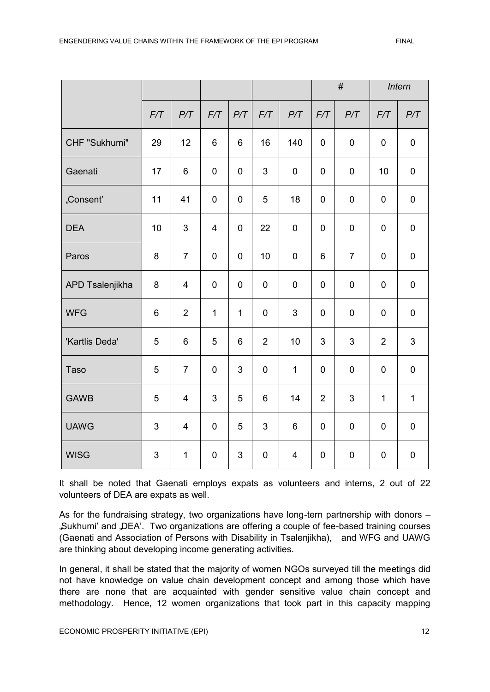|                 |     |                         |                         |              |                |                         | $\#$           |                     |                | Intern       |  |
|-----------------|-----|-------------------------|-------------------------|--------------|----------------|-------------------------|----------------|---------------------|----------------|--------------|--|
|                 | F/T | P/T                     | F/T                     | P/T          | F/T            | P/T                     | F/T            | P/T                 | F/T            | P/T          |  |
| CHF "Sukhumi"   | 29  | 12                      | 6                       | 6            | 16             | 140                     | $\mathbf 0$    | $\pmb{0}$           | $\mathbf 0$    | $\pmb{0}$    |  |
| Gaenati         | 17  | 6                       | $\pmb{0}$               | $\mathbf 0$  | $\mathfrak{S}$ | $\pmb{0}$               | $\mathbf 0$    | $\pmb{0}$           | 10             | $\pmb{0}$    |  |
| "Consent'       | 11  | 41                      | 0                       | $\mathbf 0$  | 5              | 18                      | 0              | $\mathbf 0$         | $\mathbf 0$    | $\pmb{0}$    |  |
| <b>DEA</b>      | 10  | 3                       | $\overline{\mathbf{4}}$ | $\mathbf 0$  | 22             | $\pmb{0}$               | $\mathbf 0$    | $\pmb{0}$           | $\pmb{0}$      | $\pmb{0}$    |  |
| Paros           | 8   | $\overline{7}$          | $\pmb{0}$               | $\pmb{0}$    | 10             | $\pmb{0}$               | 6              | $\overline{7}$      | $\pmb{0}$      | $\pmb{0}$    |  |
| APD Tsalenjikha | 8   | $\overline{4}$          | $\mathbf 0$             | $\mathbf 0$  | $\mathbf 0$    | $\mathbf 0$             | $\mathbf 0$    | $\mathbf 0$         | $\mathbf 0$    | $\pmb{0}$    |  |
| <b>WFG</b>      | 6   | $\overline{2}$          | $\mathbf{1}$            | $\mathbf{1}$ | $\mathbf 0$    | 3                       | $\overline{0}$ | $\mathbf 0$         | $\mathbf 0$    | 0            |  |
| 'Kartlis Deda'  | 5   | 6                       | 5                       | 6            | $\overline{2}$ | 10                      | 3              | 3                   | $\overline{2}$ | 3            |  |
| <b>Taso</b>     | 5   | $\overline{7}$          | $\mathbf 0$             | 3            | $\mathbf 0$    | $\mathbf 1$             | $\mathbf 0$    | $\mathsf{O}\xspace$ | $\mathbf 0$    | $\pmb{0}$    |  |
| <b>GAWB</b>     | 5   | $\overline{\mathbf{4}}$ | 3                       | 5            | $\,6\,$        | 14                      | $\overline{2}$ | 3                   | $\mathbf{1}$   | $\mathbf{1}$ |  |
| <b>UAWG</b>     | 3   | 4                       | $\mathbf 0$             | 5            | 3              | 6                       | $\mathbf 0$    | $\pmb{0}$           | $\mathbf 0$    | $\pmb{0}$    |  |
| <b>WISG</b>     | 3   | $\mathbf{1}$            | $\pmb{0}$               | 3            | $\pmb{0}$      | $\overline{\mathbf{4}}$ | $\mathbf 0$    | $\pmb{0}$           | $\pmb{0}$      | $\pmb{0}$    |  |

It shall be noted that Gaenati employs expats as volunteers and interns, 2 out of 22 volunteers of DEA are expats as well.

As for the fundraising strategy, two organizations have long-tern partnership with donors – "Sukhumi' and "DEA'. Two organizations are offering a couple of fee-based training courses (Gaenati and Association of Persons with Disability in Tsalenjikha), and WFG and UAWG are thinking about developing income generating activities.

In general, it shall be stated that the majority of women NGOs surveyed till the meetings did not have knowledge on value chain development concept and among those which have there are none that are acquainted with gender sensitive value chain concept and methodology. Hence, 12 women organizations that took part in this capacity mapping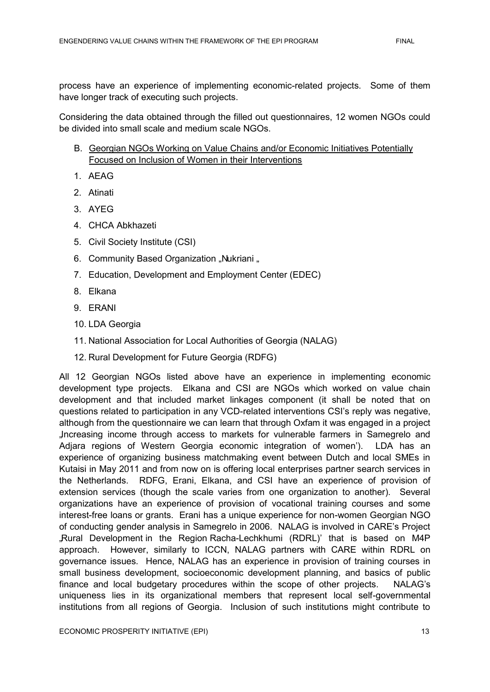process have an experience of implementing economic-related projects. Some of them have longer track of executing such projects.

Considering the data obtained through the filled out questionnaires, 12 women NGOs could be divided into small scale and medium scale NGOs.

- B. Georgian NGOs Working on Value Chains and/or Economic Initiatives Potentially Focused on Inclusion of Women in their Interventions
- 1. AEAG
- 2. Atinati
- 3. AYEG
- 4. CHCA Abkhazeti
- 5. Civil Society Institute (CSI)
- 6. Community Based Organization "Nukriani "
- 7. Education, Development and Employment Center (EDEC)
- 8. Elkana
- 9. ERANI
- 10. LDA Georgia
- 11. National Association for Local Authorities of Georgia (NALAG)
- 12. Rural Development for Future Georgia (RDFG)

All 12 Georgian NGOs listed above have an experience in implementing economic development type projects. Elkana and CSI are NGOs which worked on value chain development and that included market linkages component (it shall be noted that on questions related to participation in any VCD-related interventions CSI"s reply was negative, although from the questionnaire we can learn that through Oxfam it was engaged in a project "Increasing income through access to markets for vulnerable farmers in Samegrelo and Adjara regions of Western Georgia economic integration of women"). LDA has an experience of organizing business matchmaking event between Dutch and local SMEs in Kutaisi in May 2011 and from now on is offering local enterprises partner search services in the Netherlands. RDFG, Erani, Elkana, and CSI have an experience of provision of extension services (though the scale varies from one organization to another). Several organizations have an experience of provision of vocational training courses and some interest-free loans or grants. Erani has a unique experience for non-women Georgian NGO of conducting gender analysis in Samegrelo in 2006. NALAG is involved in CARE"s Project "Rural Development in the Region Racha-Lechkhumi (RDRL)" that is based on M4P approach. However, similarly to ICCN, NALAG partners with CARE within RDRL on governance issues. Hence, NALAG has an experience in provision of training courses in small business development, socioeconomic development planning, and basics of public finance and local budgetary procedures within the scope of other projects. NALAG's uniqueness lies in its organizational members that represent local self-governmental institutions from all regions of Georgia. Inclusion of such institutions might contribute to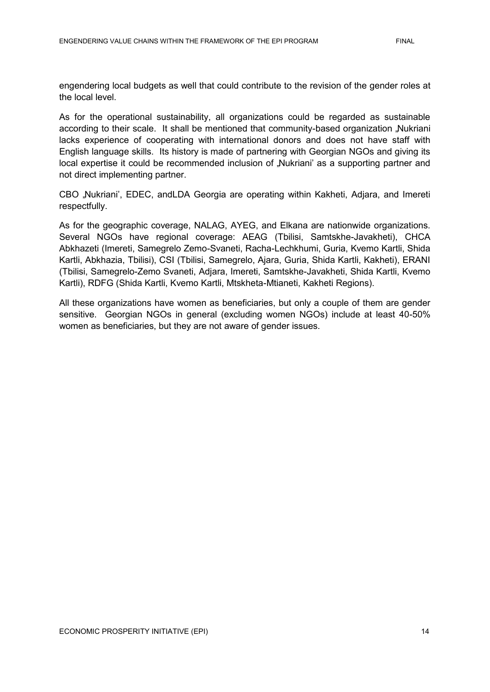engendering local budgets as well that could contribute to the revision of the gender roles at the local level.

As for the operational sustainability, all organizations could be regarded as sustainable according to their scale. It shall be mentioned that community-based organization "Nukriani lacks experience of cooperating with international donors and does not have staff with English language skills. Its history is made of partnering with Georgian NGOs and giving its local expertise it could be recommended inclusion of "Nukriani" as a supporting partner and not direct implementing partner.

CBO "Nukriani", EDEC, andLDA Georgia are operating within Kakheti, Adjara, and Imereti respectfully.

As for the geographic coverage, NALAG, AYEG, and Elkana are nationwide organizations. Several NGOs have regional coverage: AEAG (Tbilisi, Samtskhe-Javakheti), CHCA Abkhazeti (Imereti, Samegrelo Zemo-Svaneti, Racha-Lechkhumi, Guria, Kvemo Kartli, Shida Kartli, Abkhazia, Tbilisi), CSI (Tbilisi, Samegrelo, Ajara, Guria, Shida Kartli, Kakheti), ERANI (Tbilisi, Samegrelo-Zemo Svaneti, Adjara, Imereti, Samtskhe-Javakheti, Shida Kartli, Kvemo Kartli), RDFG (Shida Kartli, Kvemo Kartli, Mtskheta-Mtianeti, Kakheti Regions).

All these organizations have women as beneficiaries, but only a couple of them are gender sensitive. Georgian NGOs in general (excluding women NGOs) include at least 40-50% women as beneficiaries, but they are not aware of gender issues.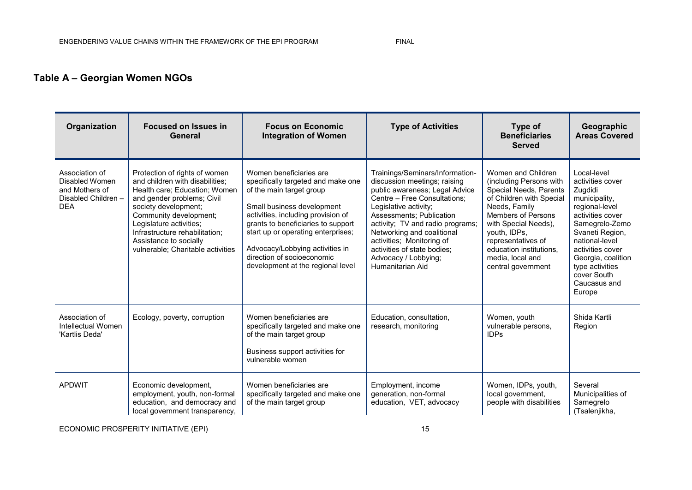### **Table A – Georgian Women NGOs**

| Organization                                                                            | <b>Focused on Issues in</b><br>General                                                                                                                                                                                                                                                                        | <b>Focus on Economic</b><br><b>Integration of Women</b>                                                                                                                                                                                                                                                                                         | <b>Type of Activities</b>                                                                                                                                                                                                                                                                                                                                        | Type of<br><b>Beneficiaries</b><br><b>Served</b>                                                                                                                                                                                                                                     | Geographic<br><b>Areas Covered</b>                                                                                                                                                                                                                             |
|-----------------------------------------------------------------------------------------|---------------------------------------------------------------------------------------------------------------------------------------------------------------------------------------------------------------------------------------------------------------------------------------------------------------|-------------------------------------------------------------------------------------------------------------------------------------------------------------------------------------------------------------------------------------------------------------------------------------------------------------------------------------------------|------------------------------------------------------------------------------------------------------------------------------------------------------------------------------------------------------------------------------------------------------------------------------------------------------------------------------------------------------------------|--------------------------------------------------------------------------------------------------------------------------------------------------------------------------------------------------------------------------------------------------------------------------------------|----------------------------------------------------------------------------------------------------------------------------------------------------------------------------------------------------------------------------------------------------------------|
| Association of<br>Disabled Women<br>and Mothers of<br>Disabled Children -<br><b>DEA</b> | Protection of rights of women<br>and children with disabilities;<br>Health care; Education; Women<br>and gender problems; Civil<br>society development;<br>Community development;<br>Legislature activities;<br>Infrastructure rehabilitation;<br>Assistance to socially<br>vulnerable; Charitable activities | Women beneficiaries are<br>specifically targeted and make one<br>of the main target group<br>Small business development<br>activities, including provision of<br>grants to beneficiaries to support<br>start up or operating enterprises;<br>Advocacy/Lobbying activities in<br>direction of socioeconomic<br>development at the regional level | Trainings/Seminars/Information-<br>discussion meetings; raising<br>public awareness; Legal Advice<br>Centre - Free Consultations;<br>Legislative activity;<br>Assessments; Publication<br>activity; TV and radio programs;<br>Networking and coalitional<br>activities; Monitoring of<br>activities of state bodies;<br>Advocacy / Lobbying;<br>Humanitarian Aid | Women and Children<br>(including Persons with<br>Special Needs, Parents<br>of Children with Special<br>Needs, Family<br><b>Members of Persons</b><br>with Special Needs),<br>youth, IDPs,<br>representatives of<br>education institutions.<br>media, local and<br>central government | Local-level<br>activities cover<br>Zugdidi<br>municipality,<br>regional-level<br>activities cover<br>Samegrelo-Zemo<br>Svaneti Region,<br>national-level<br>activities cover<br>Georgia, coalition<br>type activities<br>cover South<br>Caucasus and<br>Europe |
| Association of<br>Intellectual Women<br>'Kartlis Deda'                                  | Ecology, poverty, corruption                                                                                                                                                                                                                                                                                  | Women beneficiaries are<br>specifically targeted and make one<br>of the main target group<br>Business support activities for<br>vulnerable women                                                                                                                                                                                                | Education, consultation,<br>research, monitoring                                                                                                                                                                                                                                                                                                                 | Women, youth<br>vulnerable persons,<br><b>IDPs</b>                                                                                                                                                                                                                                   | Shida Kartli<br>Region                                                                                                                                                                                                                                         |
| <b>APDWIT</b>                                                                           | Economic development,<br>employment, youth, non-formal<br>education, and democracy and<br>local government transparency,                                                                                                                                                                                      | Women beneficiaries are<br>specifically targeted and make one<br>of the main target group                                                                                                                                                                                                                                                       | Employment, income<br>generation, non-formal<br>education, VET, advocacy                                                                                                                                                                                                                                                                                         | Women, IDPs, youth,<br>local government,<br>people with disabilities                                                                                                                                                                                                                 | Several<br>Municipalities of<br>Samegrelo<br>(Tsalenjikha,                                                                                                                                                                                                     |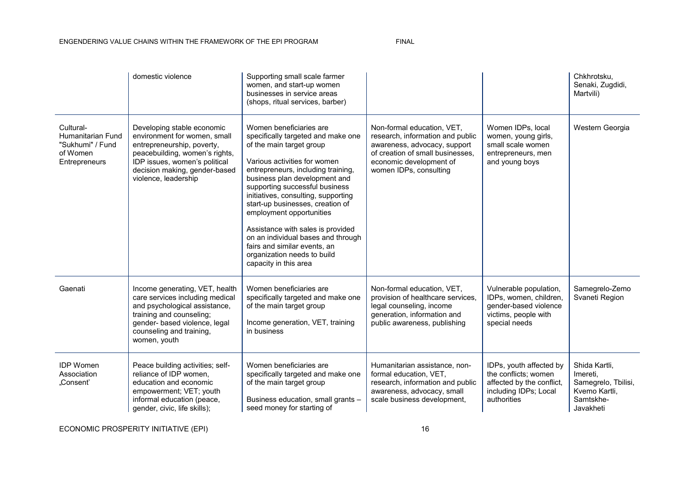#### ENGENDERING VALUE CHAINS WITHIN THE FRAMEWORK OF THE EPI PROGRAM FINAL

|                                                                                 | domestic violence                                                                                                                                                                                                    | Supporting small scale farmer<br>women, and start-up women<br>businesses in service areas<br>(shops, ritual services, barber)                                                                                                                                                                                                                                                                                                                                                                                |                                                                                                                                                                                         |                                                                                                                      | Chkhrotsku,<br>Senaki, Zugdidi,<br>Martvili)                                                |
|---------------------------------------------------------------------------------|----------------------------------------------------------------------------------------------------------------------------------------------------------------------------------------------------------------------|--------------------------------------------------------------------------------------------------------------------------------------------------------------------------------------------------------------------------------------------------------------------------------------------------------------------------------------------------------------------------------------------------------------------------------------------------------------------------------------------------------------|-----------------------------------------------------------------------------------------------------------------------------------------------------------------------------------------|----------------------------------------------------------------------------------------------------------------------|---------------------------------------------------------------------------------------------|
| Cultural-<br>Humanitarian Fund<br>"Sukhumi" / Fund<br>of Women<br>Entrepreneurs | Developing stable economic<br>environment for women, small<br>entrepreneurship, poverty,<br>peacebuilding, women's rights,<br>IDP issues, women's political<br>decision making, gender-based<br>violence, leadership | Women beneficiaries are<br>specifically targeted and make one<br>of the main target group<br>Various activities for women<br>entrepreneurs, including training,<br>business plan development and<br>supporting successful business<br>initiatives, consulting, supporting<br>start-up businesses, creation of<br>employment opportunities<br>Assistance with sales is provided<br>on an individual bases and through<br>fairs and similar events, an<br>organization needs to build<br>capacity in this area | Non-formal education, VET,<br>research, information and public<br>awareness, advocacy, support<br>of creation of small businesses.<br>economic development of<br>women IDPs, consulting | Women IDPs, local<br>women, young girls,<br>small scale women<br>entrepreneurs, men<br>and young boys                | Western Georgia                                                                             |
| Gaenati                                                                         | Income generating, VET, health<br>care services including medical<br>and psychological assistance,<br>training and counseling;<br>gender- based violence, legal<br>counseling and training,<br>women, youth          | Women beneficiaries are<br>specifically targeted and make one<br>of the main target group<br>Income generation, VET, training<br>in business                                                                                                                                                                                                                                                                                                                                                                 | Non-formal education, VET,<br>provision of healthcare services,<br>legal counseling, income<br>generation, information and<br>public awareness, publishing                              | Vulnerable population,<br>IDPs, women, children,<br>gender-based violence<br>victims, people with<br>special needs   | Samegrelo-Zemo<br>Svaneti Region                                                            |
| <b>IDP Women</b><br>Association<br>"Consent'                                    | Peace building activities; self-<br>reliance of IDP women,<br>education and economic<br>empowerment; VET; youth<br>informal education (peace,<br>gender, civic, life skills);                                        | Women beneficiaries are<br>specifically targeted and make one<br>of the main target group<br>Business education, small grants -<br>seed money for starting of                                                                                                                                                                                                                                                                                                                                                | Humanitarian assistance, non-<br>formal education, VET,<br>research, information and public<br>awareness, advocacy, small<br>scale business development,                                | IDPs, youth affected by<br>the conflicts; women<br>affected by the conflict,<br>including IDPs; Local<br>authorities | Shida Kartli,<br>Imereti.<br>Samegrelo, Tbilisi,<br>Kvemo Kartli,<br>Samtskhe-<br>Javakheti |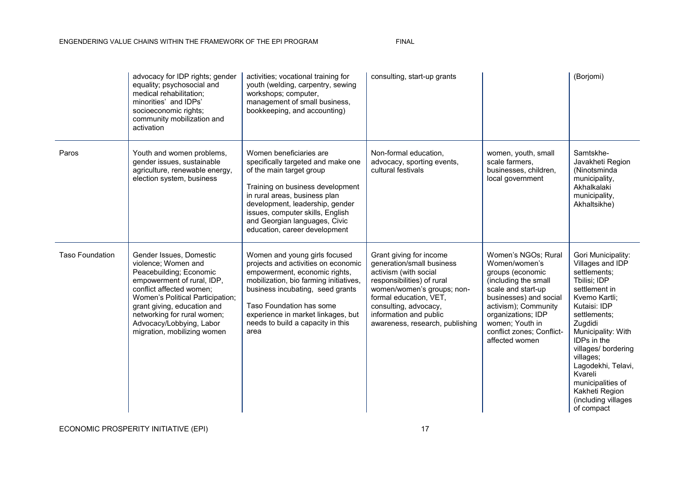#### ENGENDERING VALUE CHAINS WITHIN THE FRAMEWORK OF THE EPI PROGRAM FINAL

|                        | advocacy for IDP rights; gender<br>equality; psychosocial and<br>medical rehabilitation:<br>minorities' and IDPs'<br>socioeconomic rights;<br>community mobilization and<br>activation                                                                                                           | activities; vocational training for<br>youth (welding, carpentry, sewing<br>workshops; computer,<br>management of small business,<br>bookkeeping, and accounting)                                                                                                                                       | consulting, start-up grants                                                                                                                                                                                                                               |                                                                                                                                                                                                                                                  | (Borjomi)                                                                                                                                                                                                                                                                                                                                 |
|------------------------|--------------------------------------------------------------------------------------------------------------------------------------------------------------------------------------------------------------------------------------------------------------------------------------------------|---------------------------------------------------------------------------------------------------------------------------------------------------------------------------------------------------------------------------------------------------------------------------------------------------------|-----------------------------------------------------------------------------------------------------------------------------------------------------------------------------------------------------------------------------------------------------------|--------------------------------------------------------------------------------------------------------------------------------------------------------------------------------------------------------------------------------------------------|-------------------------------------------------------------------------------------------------------------------------------------------------------------------------------------------------------------------------------------------------------------------------------------------------------------------------------------------|
| Paros                  | Youth and women problems,<br>gender issues, sustainable<br>agriculture, renewable energy,<br>election system, business                                                                                                                                                                           | Women beneficiaries are<br>specifically targeted and make one<br>of the main target group<br>Training on business development<br>in rural areas, business plan<br>development, leadership, gender<br>issues, computer skills, English<br>and Georgian languages, Civic<br>education, career development | Non-formal education,<br>advocacy, sporting events,<br>cultural festivals                                                                                                                                                                                 | women, youth, small<br>scale farmers,<br>businesses, children,<br>local government                                                                                                                                                               | Samtskhe-<br>Javakheti Region<br>(Ninotsminda<br>municipality,<br>Akhalkalaki<br>municipality,<br>Akhaltsikhe)                                                                                                                                                                                                                            |
| <b>Taso Foundation</b> | Gender Issues, Domestic<br>violence; Women and<br>Peacebuilding; Economic<br>empowerment of rural, IDP,<br>conflict affected women;<br>Women's Political Participation;<br>grant giving, education and<br>networking for rural women;<br>Advocacy/Lobbying, Labor<br>migration, mobilizing women | Women and young girls focused<br>projects and activities on economic<br>empowerment, economic rights,<br>mobilization, bio farming initiatives,<br>business incubating, seed grants<br>Taso Foundation has some<br>experience in market linkages, but<br>needs to build a capacity in this<br>area      | Grant giving for income<br>generation/small business<br>activism (with social<br>responsibilities) of rural<br>women/women's groups; non-<br>formal education, VET,<br>consulting, advocacy,<br>information and public<br>awareness, research, publishing | Women's NGOs; Rural<br>Women/women's<br>groups (economic<br>(including the small<br>scale and start-up<br>businesses) and social<br>activism); Community<br>organizations; IDP<br>women; Youth in<br>conflict zones; Conflict-<br>affected women | Gori Municipality:<br>Villages and IDP<br>settlements;<br>Tbilisi; IDP<br>settlement in<br>Kvemo Kartli;<br>Kutaisi: IDP<br>settlements;<br>Zugdidi<br>Municipality: With<br>IDPs in the<br>villages/ bordering<br>villages;<br>Lagodekhi, Telavi,<br>Kvareli<br>municipalities of<br>Kakheti Region<br>(including villages<br>of compact |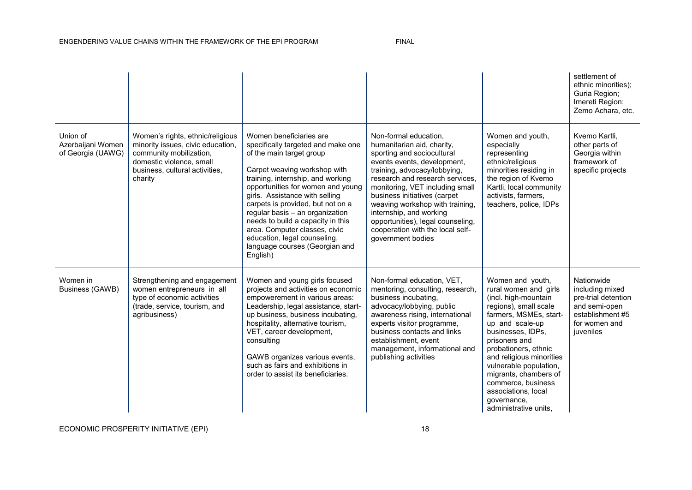|                                                    |                                                                                                                                                                           |                                                                                                                                                                                                                                                                                                                                                                                                                                                                   |                                                                                                                                                                                                                                                                                                                                                                                                                    |                                                                                                                                                                                                                                                                                                                                                                           | settlement of<br>ethnic minorities);<br>Guria Region:<br>Imereti Region;<br>Zemo Achara, etc.                           |
|----------------------------------------------------|---------------------------------------------------------------------------------------------------------------------------------------------------------------------------|-------------------------------------------------------------------------------------------------------------------------------------------------------------------------------------------------------------------------------------------------------------------------------------------------------------------------------------------------------------------------------------------------------------------------------------------------------------------|--------------------------------------------------------------------------------------------------------------------------------------------------------------------------------------------------------------------------------------------------------------------------------------------------------------------------------------------------------------------------------------------------------------------|---------------------------------------------------------------------------------------------------------------------------------------------------------------------------------------------------------------------------------------------------------------------------------------------------------------------------------------------------------------------------|-------------------------------------------------------------------------------------------------------------------------|
| Union of<br>Azerbaijani Women<br>of Georgia (UAWG) | Women's rights, ethnic/religious<br>minority issues, civic education,<br>community mobilization,<br>domestic violence, small<br>business, cultural activities,<br>charity | Women beneficiaries are<br>specifically targeted and make one<br>of the main target group<br>Carpet weaving workshop with<br>training, internship, and working<br>opportunities for women and young<br>girls. Assistance with selling<br>carpets is provided, but not on a<br>regular basis - an organization<br>needs to build a capacity in this<br>area. Computer classes, civic<br>education, legal counseling,<br>language courses (Georgian and<br>English) | Non-formal education,<br>humanitarian aid, charity,<br>sporting and sociocultural<br>events events, development,<br>training, advocacy/lobbying,<br>research and research services.<br>monitoring, VET including small<br>business initiatives (carpet<br>weaving workshop with training,<br>internship, and working<br>opportunities), legal counseling,<br>cooperation with the local self-<br>government bodies | Women and youth,<br>especially<br>representing<br>ethnic/religious<br>minorities residing in<br>the region of Kvemo<br>Kartli, local community<br>activists, farmers,<br>teachers, police, IDPs                                                                                                                                                                           | Kvemo Kartli,<br>other parts of<br>Georgia within<br>framework of<br>specific projects                                  |
| Women in<br>Business (GAWB)                        | Strengthening and engagement<br>women entrepreneurs in all<br>type of economic activities<br>(trade, service, tourism, and<br>agribusiness)                               | Women and young girls focused<br>projects and activities on economic<br>empowerement in various areas:<br>Leadership, legal assistance, start-<br>up business, business incubating,<br>hospitality, alternative tourism,<br>VET, career development,<br>consulting<br>GAWB organizes various events,<br>such as fairs and exhibitions in<br>order to assist its beneficiaries.                                                                                    | Non-formal education, VET,<br>mentoring, consulting, research,<br>business incubating,<br>advocacy/lobbying, public<br>awareness rising, international<br>experts visitor programme,<br>business contacts and links<br>establishment, event<br>management, informational and<br>publishing activities                                                                                                              | Women and youth,<br>rural women and girls<br>(incl. high-mountain<br>regions), small scale<br>farmers, MSMEs, start-<br>up and scale-up<br>businesses, IDPs,<br>prisoners and<br>probationers, ethnic<br>and religious minorities<br>vulnerable population,<br>migrants, chambers of<br>commerce, business<br>associations, local<br>governance,<br>administrative units, | Nationwide<br>including mixed<br>pre-trial detention<br>and semi-open<br>establishment #5<br>for women and<br>juveniles |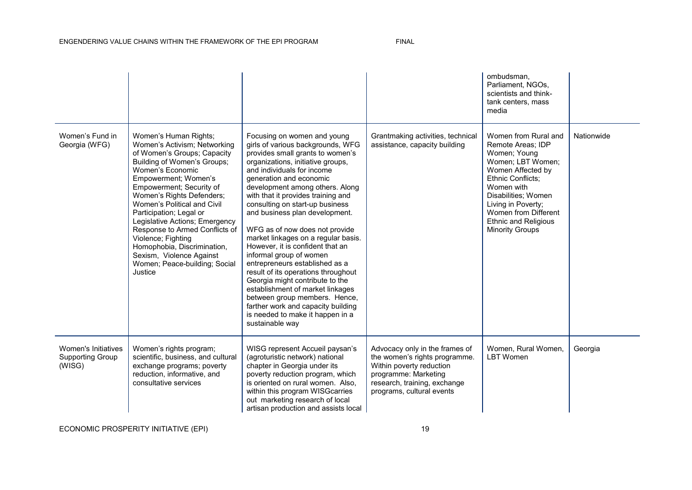|                                                          |                                                                                                                                                                                                                                                                                                                                                                                                                                                                                     |                                                                                                                                                                                                                                                                                                                                                                                                                                                                                                                                                                                                                                                                                                                                                                        |                                                                                                                                                                                  | ombudsman,<br>Parliament, NGOs,<br>scientists and think-<br>tank centers, mass<br>media                                                                                                                                                                              |            |
|----------------------------------------------------------|-------------------------------------------------------------------------------------------------------------------------------------------------------------------------------------------------------------------------------------------------------------------------------------------------------------------------------------------------------------------------------------------------------------------------------------------------------------------------------------|------------------------------------------------------------------------------------------------------------------------------------------------------------------------------------------------------------------------------------------------------------------------------------------------------------------------------------------------------------------------------------------------------------------------------------------------------------------------------------------------------------------------------------------------------------------------------------------------------------------------------------------------------------------------------------------------------------------------------------------------------------------------|----------------------------------------------------------------------------------------------------------------------------------------------------------------------------------|----------------------------------------------------------------------------------------------------------------------------------------------------------------------------------------------------------------------------------------------------------------------|------------|
| Women's Fund in<br>Georgia (WFG)                         | Women's Human Rights;<br>Women's Activism; Networking<br>of Women's Groups; Capacity<br>Building of Women's Groups;<br>Women's Economic<br>Empowerment; Women's<br>Empowerment; Security of<br>Women's Rights Defenders;<br>Women's Political and Civil<br>Participation; Legal or<br>Legislative Actions; Emergency<br>Response to Armed Conflicts of<br>Violence; Fighting<br>Homophobia, Discrimination,<br>Sexism, Violence Against<br>Women; Peace-building; Social<br>Justice | Focusing on women and young<br>girls of various backgrounds, WFG<br>provides small grants to women's<br>organizations, initiative groups,<br>and individuals for income<br>generation and economic<br>development among others. Along<br>with that it provides training and<br>consulting on start-up business<br>and business plan development.<br>WFG as of now does not provide<br>market linkages on a regular basis.<br>However, it is confident that an<br>informal group of women<br>entrepreneurs established as a<br>result of its operations throughout<br>Georgia might contribute to the<br>establishment of market linkages<br>between group members. Hence,<br>farther work and capacity building<br>is needed to make it happen in a<br>sustainable way | Grantmaking activities, technical<br>assistance, capacity building                                                                                                               | Women from Rural and<br>Remote Areas; IDP<br>Women; Young<br>Women; LBT Women;<br>Women Affected by<br>Ethnic Conflicts;<br>Women with<br>Disabilities; Women<br>Living in Poverty;<br>Women from Different<br><b>Ethnic and Religious</b><br><b>Minority Groups</b> | Nationwide |
| Women's Initiatives<br><b>Supporting Group</b><br>(WISG) | Women's rights program;<br>scientific, business, and cultural<br>exchange programs; poverty<br>reduction, informative, and<br>consultative services                                                                                                                                                                                                                                                                                                                                 | WISG represent Accueil paysan's<br>(agroturistic network) national<br>chapter in Georgia under its<br>poverty reduction program, which<br>is oriented on rural women. Also,<br>within this program WISGcarries<br>out marketing research of local<br>artisan production and assists local                                                                                                                                                                                                                                                                                                                                                                                                                                                                              | Advocacy only in the frames of<br>the women's rights programme.<br>Within poverty reduction<br>programme: Marketing<br>research, training, exchange<br>programs, cultural events | Women, Rural Women,<br><b>LBT</b> Women                                                                                                                                                                                                                              | Georgia    |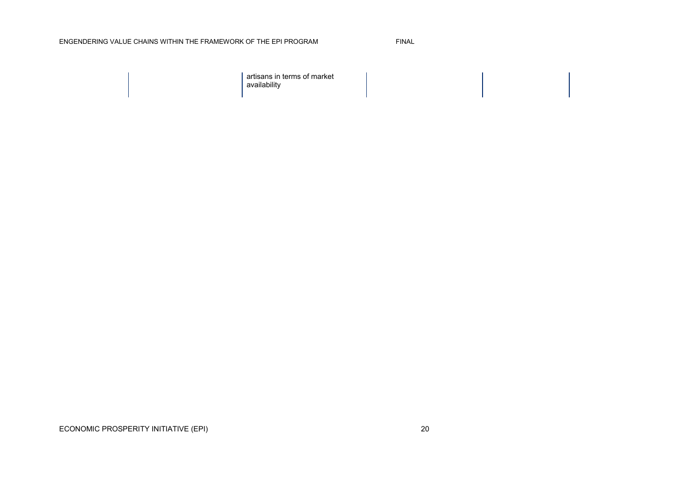#### ENGENDERING VALUE CHAINS WITHIN THE FRAMEWORK OF THE EPI PROGRAM FINAL

artisans in terms of market availability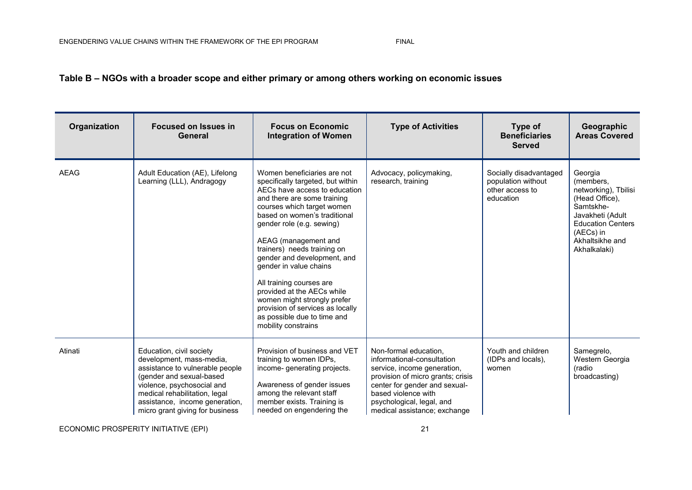#### **Table B – NGOs with a broader scope and either primary or among others working on economic issues**

| Organization | <b>Focused on Issues in</b><br>General                                                                                                                                                                                                                  | <b>Focus on Economic</b><br><b>Integration of Women</b>                                                                                                                                                                                                                                                                                                                                                                                                                                                                        | <b>Type of Activities</b>                                                                                                                                                                                                                    | Type of<br><b>Beneficiaries</b><br><b>Served</b>                             | Geographic<br><b>Areas Covered</b>                                                                                                                                          |
|--------------|---------------------------------------------------------------------------------------------------------------------------------------------------------------------------------------------------------------------------------------------------------|--------------------------------------------------------------------------------------------------------------------------------------------------------------------------------------------------------------------------------------------------------------------------------------------------------------------------------------------------------------------------------------------------------------------------------------------------------------------------------------------------------------------------------|----------------------------------------------------------------------------------------------------------------------------------------------------------------------------------------------------------------------------------------------|------------------------------------------------------------------------------|-----------------------------------------------------------------------------------------------------------------------------------------------------------------------------|
| <b>AEAG</b>  | Adult Education (AE), Lifelong<br>Learning (LLL), Andragogy                                                                                                                                                                                             | Women beneficiaries are not<br>specifically targeted, but within<br>AECs have access to education<br>and there are some training<br>courses which target women<br>based on women's traditional<br>gender role (e.g. sewing)<br>AEAG (management and<br>trainers) needs training on<br>gender and development, and<br>gender in value chains<br>All training courses are<br>provided at the AECs while<br>women might strongly prefer<br>provision of services as locally<br>as possible due to time and<br>mobility constrains | Advocacy, policymaking,<br>research, training                                                                                                                                                                                                | Socially disadvantaged<br>population without<br>other access to<br>education | Georgia<br>(members,<br>networking), Tbilisi<br>(Head Office),<br>Samtskhe-<br>Javakheti (Adult<br><b>Education Centers</b><br>(AECs) in<br>Akhaltsikhe and<br>Akhalkalaki) |
| Atinati      | Education, civil society<br>development, mass-media,<br>assistance to vulnerable people<br>(gender and sexual-based<br>violence, psychosocial and<br>medical rehabilitation, legal<br>assistance, income generation,<br>micro grant giving for business | Provision of business and VET<br>training to women IDPs,<br>income-generating projects.<br>Awareness of gender issues<br>among the relevant staff<br>member exists. Training is<br>needed on engendering the                                                                                                                                                                                                                                                                                                                   | Non-formal education,<br>informational-consultation<br>service, income generation,<br>provision of micro grants; crisis<br>center for gender and sexual-<br>based violence with<br>psychological, legal, and<br>medical assistance; exchange | Youth and children<br>(IDPs and locals),<br>women                            | Samegrelo,<br>Western Georgia<br>(radio<br>broadcasting)                                                                                                                    |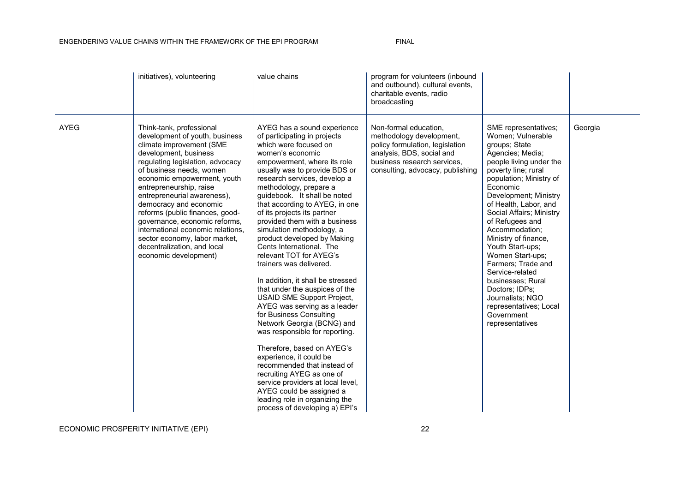#### ENGENDERING VALUE CHAINS WITHIN THE FRAMEWORK OF THE EPI PROGRAM FINAL

|             | initiatives), volunteering                                                                                                                                                                                                                                                                                                                                                                                                                                                                           | value chains                                                                                                                                                                                                                                                                                                                                                                                                                                                                                                                                                                                                                                                                                                                                                                                                                                                                                                                                                                                                        | program for volunteers (inbound<br>and outbound), cultural events,<br>charitable events, radio<br>broadcasting                                                                       |                                                                                                                                                                                                                                                                                                                                                                                                                                                                                                                           |         |
|-------------|------------------------------------------------------------------------------------------------------------------------------------------------------------------------------------------------------------------------------------------------------------------------------------------------------------------------------------------------------------------------------------------------------------------------------------------------------------------------------------------------------|---------------------------------------------------------------------------------------------------------------------------------------------------------------------------------------------------------------------------------------------------------------------------------------------------------------------------------------------------------------------------------------------------------------------------------------------------------------------------------------------------------------------------------------------------------------------------------------------------------------------------------------------------------------------------------------------------------------------------------------------------------------------------------------------------------------------------------------------------------------------------------------------------------------------------------------------------------------------------------------------------------------------|--------------------------------------------------------------------------------------------------------------------------------------------------------------------------------------|---------------------------------------------------------------------------------------------------------------------------------------------------------------------------------------------------------------------------------------------------------------------------------------------------------------------------------------------------------------------------------------------------------------------------------------------------------------------------------------------------------------------------|---------|
| <b>AYEG</b> | Think-tank, professional<br>development of youth, business<br>climate improvement (SME<br>development, business<br>regulating legislation, advocacy<br>of business needs, women<br>economic empowerment, youth<br>entrepreneurship, raise<br>entrepreneurial awareness),<br>democracy and economic<br>reforms (public finances, good-<br>governance, economic reforms,<br>international economic relations,<br>sector economy, labor market,<br>decentralization, and local<br>economic development) | AYEG has a sound experience<br>of participating in projects<br>which were focused on<br>women's economic<br>empowerment, where its role<br>usually was to provide BDS or<br>research services, develop a<br>methodology, prepare a<br>quidebook. It shall be noted<br>that according to AYEG, in one<br>of its projects its partner<br>provided them with a business<br>simulation methodology, a<br>product developed by Making<br>Cents International. The<br>relevant TOT for AYEG's<br>trainers was delivered.<br>In addition, it shall be stressed<br>that under the auspices of the<br><b>USAID SME Support Project,</b><br>AYEG was serving as a leader<br>for Business Consulting<br>Network Georgia (BCNG) and<br>was responsible for reporting.<br>Therefore, based on AYEG's<br>experience, it could be<br>recommended that instead of<br>recruiting AYEG as one of<br>service providers at local level,<br>AYEG could be assigned a<br>leading role in organizing the<br>process of developing a) EPI's | Non-formal education,<br>methodology development,<br>policy formulation, legislation<br>analysis, BDS, social and<br>business research services.<br>consulting, advocacy, publishing | SME representatives;<br>Women; Vulnerable<br>groups; State<br>Agencies; Media;<br>people living under the<br>poverty line; rural<br>population; Ministry of<br>Economic<br>Development; Ministry<br>of Health, Labor, and<br>Social Affairs; Ministry<br>of Refugees and<br>Accommodation;<br>Ministry of finance,<br>Youth Start-ups;<br>Women Start-ups;<br>Farmers; Trade and<br>Service-related<br>businesses; Rural<br>Doctors; IDPs;<br>Journalists: NGO<br>representatives; Local<br>Government<br>representatives | Georgia |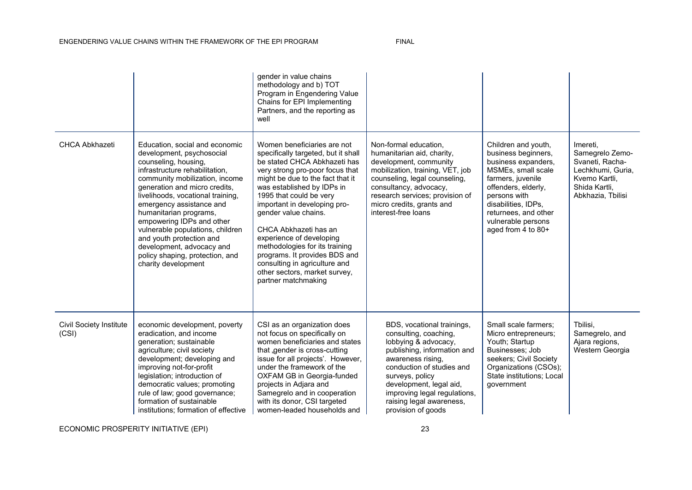#### ENGENDERING VALUE CHAINS WITHIN THE FRAMEWORK OF THE EPI PROGRAM FINAL

|                                         |                                                                                                                                                                                                                                                                                                                                                                                                                                                                         | gender in value chains<br>methodology and b) TOT<br>Program in Engendering Value<br>Chains for EPI Implementing<br>Partners, and the reporting as<br>well                                                                                                                                                                                                                                                                                                                                                   |                                                                                                                                                                                                                                                                                              |                                                                                                                                                                                                                                                |                                                                                                                            |
|-----------------------------------------|-------------------------------------------------------------------------------------------------------------------------------------------------------------------------------------------------------------------------------------------------------------------------------------------------------------------------------------------------------------------------------------------------------------------------------------------------------------------------|-------------------------------------------------------------------------------------------------------------------------------------------------------------------------------------------------------------------------------------------------------------------------------------------------------------------------------------------------------------------------------------------------------------------------------------------------------------------------------------------------------------|----------------------------------------------------------------------------------------------------------------------------------------------------------------------------------------------------------------------------------------------------------------------------------------------|------------------------------------------------------------------------------------------------------------------------------------------------------------------------------------------------------------------------------------------------|----------------------------------------------------------------------------------------------------------------------------|
| <b>CHCA Abkhazeti</b>                   | Education, social and economic<br>development, psychosocial<br>counseling, housing,<br>infrastructure rehabilitation.<br>community mobilization, income<br>generation and micro credits,<br>livelihoods, vocational training,<br>emergency assistance and<br>humanitarian programs,<br>empowering IDPs and other<br>vulnerable populations, children<br>and youth protection and<br>development, advocacy and<br>policy shaping, protection, and<br>charity development | Women beneficiaries are not<br>specifically targeted, but it shall<br>be stated CHCA Abkhazeti has<br>very strong pro-poor focus that<br>might be due to the fact that it<br>was established by IDPs in<br>1995 that could be very<br>important in developing pro-<br>gender value chains.<br>CHCA Abkhazeti has an<br>experience of developing<br>methodologies for its training<br>programs. It provides BDS and<br>consulting in agriculture and<br>other sectors, market survey,<br>partner matchmaking | Non-formal education,<br>humanitarian aid, charity,<br>development, community<br>mobilization, training, VET, job<br>counseling, legal counseling,<br>consultancy, advocacy,<br>research services; provision of<br>micro credits, grants and<br>interest-free loans                          | Children and youth,<br>business beginners,<br>business expanders,<br>MSMEs, small scale<br>farmers, juvenile<br>offenders, elderly,<br>persons with<br>disabilities, IDPs,<br>returnees, and other<br>vulnerable persons<br>aged from 4 to 80+ | Imereti.<br>Samegrelo Zemo-<br>Svaneti, Racha-<br>Lechkhumi, Guria.<br>Kvemo Kartli.<br>Shida Kartli,<br>Abkhazia, Tbilisi |
| <b>Civil Society Institute</b><br>(CSI) | economic development, poverty<br>eradication, and income<br>generation; sustainable<br>agriculture; civil society<br>development; developing and<br>improving not-for-profit<br>legislation; introduction of<br>democratic values; promoting<br>rule of law; good governance;<br>formation of sustainable<br>institutions; formation of effective                                                                                                                       | CSI as an organization does<br>not focus on specifically on<br>women beneficiaries and states<br>that , gender is cross-cutting<br>issue for all projects'. However,<br>under the framework of the<br>OXFAM GB in Georgia-funded<br>projects in Adjara and<br>Samegrelo and in cooperation<br>with its donor, CSI targeted<br>women-leaded households and                                                                                                                                                   | BDS, vocational trainings,<br>consulting, coaching,<br>lobbying & advocacy,<br>publishing, information and<br>awareness rising,<br>conduction of studies and<br>surveys, policy<br>development, legal aid,<br>improving legal regulations,<br>raising legal awareness,<br>provision of goods | Small scale farmers:<br>Micro entrepreneurs;<br>Youth; Startup<br>Businesses; Job<br>seekers; Civil Society<br>Organizations (CSOs);<br>State institutions; Local<br>government                                                                | Tbilisi,<br>Samegrelo, and<br>Ajara regions,<br>Western Georgia                                                            |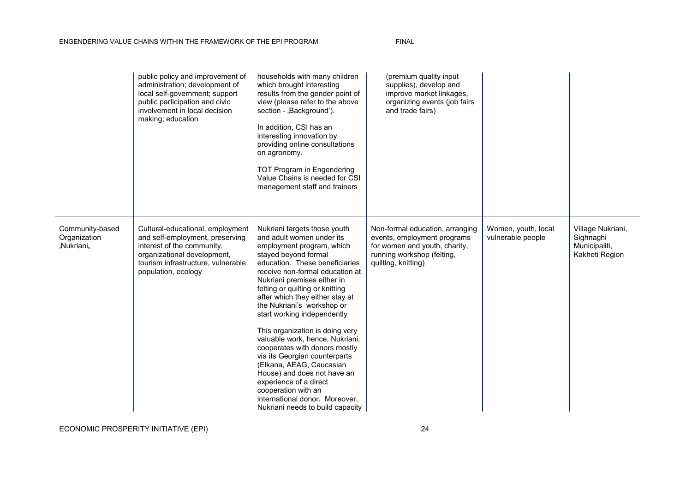|                                               | public policy and improvement of<br>administration; development of<br>local self-government; support<br>public participation and civic<br>involvement in local decision<br>making; education  | households with many children<br>which brought interesting<br>results from the gender point of<br>view (please refer to the above<br>section - "Background').<br>In addition, CSI has an<br>interesting innovation by<br>providing online consultations<br>on agronomy.<br>TOT Program in Engendering<br>Value Chains is needed for CSI<br>management staff and trainers                                                                                                                                                                                                                                                                                                        | (premium quality input<br>supplies), develop and<br>improve market linkages,<br>organizing events (job fairs<br>and trade fairs)                     |                                          |                                                                   |
|-----------------------------------------------|-----------------------------------------------------------------------------------------------------------------------------------------------------------------------------------------------|---------------------------------------------------------------------------------------------------------------------------------------------------------------------------------------------------------------------------------------------------------------------------------------------------------------------------------------------------------------------------------------------------------------------------------------------------------------------------------------------------------------------------------------------------------------------------------------------------------------------------------------------------------------------------------|------------------------------------------------------------------------------------------------------------------------------------------------------|------------------------------------------|-------------------------------------------------------------------|
| Community-based<br>Organization<br>"Nukriani" | Cultural-educational, employment<br>and self-employment, preserving<br>interest of the community,<br>organizational development,<br>tourism infrastructure, vulnerable<br>population, ecology | Nukriani targets those youth<br>and adult women under its<br>employment program, which<br>stayed beyond formal<br>education. These beneficiaries<br>receive non-formal education at<br>Nukriani premises either in<br>felting or quilting or knitting<br>after which they either stay at<br>the Nukriani's workshop or<br>start working independently<br>This organization is doing very<br>valuable work, hence, Nukriani,<br>cooperates with donors mostly<br>via its Georgian counterparts<br>(Elkana, AEAG, Caucasian<br>House) and does not have an<br>experience of a direct<br>cooperation with an<br>international donor. Moreover,<br>Nukriani needs to build capacity | Non-formal education, arranging<br>events, employment programs<br>for women and youth, charity,<br>running workshop (felting,<br>quilting, knitting) | Women, youth, local<br>vulnerable people | Village Nukriani,<br>Sighnaghi<br>Municipaliti,<br>Kakheti Region |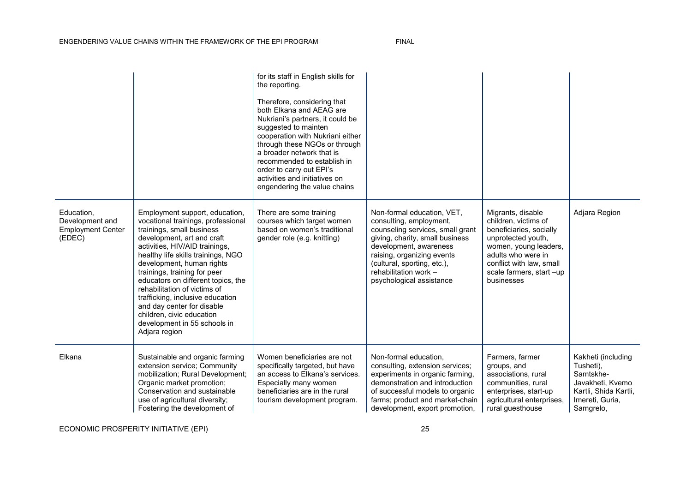|                                                                     |                                                                                                                                                                                                                                                                                                                                                                                                                                                                                            | for its staff in English skills for<br>the reporting.<br>Therefore, considering that<br>both Elkana and AEAG are<br>Nukriani's partners, it could be<br>suggested to mainten<br>cooperation with Nukriani either<br>through these NGOs or through<br>a broader network that is<br>recommended to establish in<br>order to carry out EPI's<br>activities and initiatives on<br>engendering the value chains |                                                                                                                                                                                                                                                                          |                                                                                                                                                                                                                |                                                                                                                           |
|---------------------------------------------------------------------|--------------------------------------------------------------------------------------------------------------------------------------------------------------------------------------------------------------------------------------------------------------------------------------------------------------------------------------------------------------------------------------------------------------------------------------------------------------------------------------------|------------------------------------------------------------------------------------------------------------------------------------------------------------------------------------------------------------------------------------------------------------------------------------------------------------------------------------------------------------------------------------------------------------|--------------------------------------------------------------------------------------------------------------------------------------------------------------------------------------------------------------------------------------------------------------------------|----------------------------------------------------------------------------------------------------------------------------------------------------------------------------------------------------------------|---------------------------------------------------------------------------------------------------------------------------|
| Education,<br>Development and<br><b>Employment Center</b><br>(EDEC) | Employment support, education,<br>vocational trainings, professional<br>trainings, small business<br>development, art and craft<br>activities, HIV/AID trainings,<br>healthy life skills trainings, NGO<br>development, human rights<br>trainings, training for peer<br>educators on different topics, the<br>rehabilitation of victims of<br>trafficking, inclusive education<br>and day center for disable<br>children, civic education<br>development in 55 schools in<br>Adjara region | There are some training<br>courses which target women<br>based on women's traditional<br>gender role (e.g. knitting)                                                                                                                                                                                                                                                                                       | Non-formal education, VET,<br>consulting, employment,<br>counseling services, small grant<br>giving, charity, small business<br>development, awareness<br>raising, organizing events<br>(cultural, sporting, etc.),<br>rehabilitation work -<br>psychological assistance | Migrants, disable<br>children, victims of<br>beneficiaries, socially<br>unprotected youth,<br>women, young leaders,<br>adults who were in<br>conflict with law, small<br>scale farmers, start-up<br>businesses | Adjara Region                                                                                                             |
| Elkana                                                              | Sustainable and organic farming<br>extension service; Community<br>mobilization; Rural Development;<br>Organic market promotion;<br>Conservation and sustainable<br>use of agricultural diversity;<br>Fostering the development of                                                                                                                                                                                                                                                         | Women beneficiaries are not<br>specifically targeted, but have<br>an access to Elkana's services.<br>Especially many women<br>beneficiaries are in the rural<br>tourism development program.                                                                                                                                                                                                               | Non-formal education,<br>consulting, extension services;<br>experiments in organic farming,<br>demonstration and introduction<br>of successful models to organic<br>farms; product and market-chain<br>development, export promotion,                                    | Farmers, farmer<br>groups, and<br>associations, rural<br>communities, rural<br>enterprises, start-up<br>agricultural enterprises,<br>rural questhouse                                                          | Kakheti (including<br>Tusheti),<br>Samtskhe-<br>Javakheti, Kvemo<br>Kartli, Shida Kartli,<br>Imereti, Guria,<br>Samgrelo, |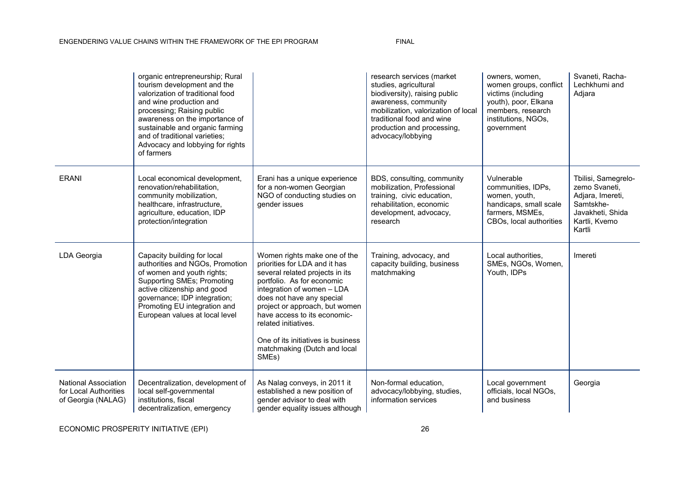|                                                                            | organic entrepreneurship; Rural<br>tourism development and the<br>valorization of traditional food<br>and wine production and<br>processing; Raising public<br>awareness on the importance of<br>sustainable and organic farming<br>and of traditional varieties;<br>Advocacy and lobbying for rights<br>of farmers |                                                                                                                                                                                                                                                                                                                                                                    | research services (market<br>studies, agricultural<br>biodiversity), raising public<br>awareness, community<br>mobilization, valorization of local<br>traditional food and wine<br>production and processing,<br>advocacy/lobbying | owners, women,<br>women groups, conflict<br>victims (including<br>youth), poor, Elkana<br>members, research<br>institutions, NGOs,<br>government | Svaneti, Racha-<br>Lechkhumi and<br>Adjara                                                                           |
|----------------------------------------------------------------------------|---------------------------------------------------------------------------------------------------------------------------------------------------------------------------------------------------------------------------------------------------------------------------------------------------------------------|--------------------------------------------------------------------------------------------------------------------------------------------------------------------------------------------------------------------------------------------------------------------------------------------------------------------------------------------------------------------|------------------------------------------------------------------------------------------------------------------------------------------------------------------------------------------------------------------------------------|--------------------------------------------------------------------------------------------------------------------------------------------------|----------------------------------------------------------------------------------------------------------------------|
| <b>ERANI</b>                                                               | Local economical development,<br>renovation/rehabilitation,<br>community mobilization,<br>healthcare, infrastructure,<br>agriculture, education, IDP<br>protection/integration                                                                                                                                      | Erani has a unique experience<br>for a non-women Georgian<br>NGO of conducting studies on<br>gender issues                                                                                                                                                                                                                                                         | BDS, consulting, community<br>mobilization, Professional<br>training, civic education,<br>rehabilitation, economic<br>development, advocacy,<br>research                                                                           | Vulnerable<br>communities, IDPs,<br>women, youth,<br>handicaps, small scale<br>farmers, MSMEs,<br>CBOs, local authorities                        | Tbilisi, Samegrelo-<br>zemo Svaneti,<br>Adjara, Imereti,<br>Samtskhe-<br>Javakheti, Shida<br>Kartli, Kvemo<br>Kartli |
| LDA Georgia                                                                | Capacity building for local<br>authorities and NGOs, Promotion<br>of women and youth rights;<br><b>Supporting SMEs; Promoting</b><br>active citizenship and good<br>governance; IDP integration;<br>Promoting EU integration and<br>European values at local level                                                  | Women rights make one of the<br>priorities for LDA and it has<br>several related projects in its<br>portfolio. As for economic<br>integration of women - LDA<br>does not have any special<br>project or approach, but women<br>have access to its economic-<br>related initiatives.<br>One of its initiatives is business<br>matchmaking (Dutch and local<br>SMEs) | Training, advocacy, and<br>capacity building, business<br>matchmaking                                                                                                                                                              | Local authorities.<br>SMEs, NGOs, Women,<br>Youth, IDPs                                                                                          | Imereti                                                                                                              |
| <b>National Association</b><br>for Local Authorities<br>of Georgia (NALAG) | Decentralization, development of<br>local self-governmental<br>institutions, fiscal<br>decentralization, emergency                                                                                                                                                                                                  | As Nalag conveys, in 2011 it<br>established a new position of<br>gender advisor to deal with<br>gender equality issues although                                                                                                                                                                                                                                    | Non-formal education,<br>advocacy/lobbying, studies,<br>information services                                                                                                                                                       | Local government<br>officials, local NGOs,<br>and business                                                                                       | Georgia                                                                                                              |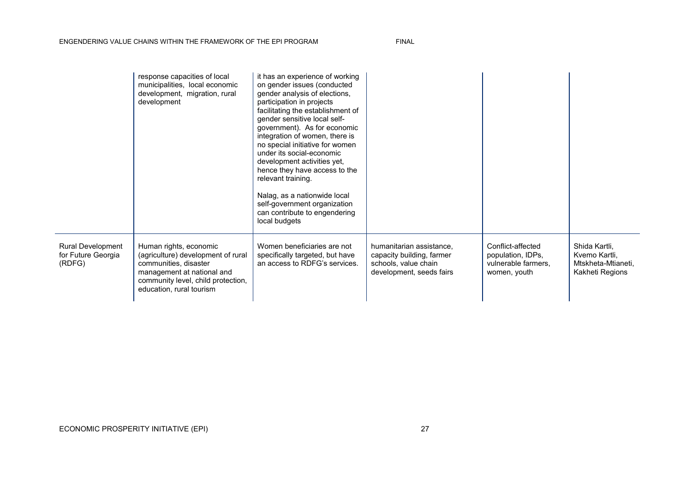|                                                          | response capacities of local<br>municipalities, local economic<br>development, migration, rural<br>development                                                                        | it has an experience of working<br>on gender issues (conducted<br>gender analysis of elections,<br>participation in projects<br>facilitating the establishment of<br>gender sensitive local self-<br>government). As for economic<br>integration of women, there is<br>no special initiative for women<br>under its social-economic<br>development activities yet,<br>hence they have access to the<br>relevant training.<br>Nalag, as a nationwide local<br>self-government organization<br>can contribute to engendering<br>local budgets |                                                                                                           |                                                                               |                                                                         |
|----------------------------------------------------------|---------------------------------------------------------------------------------------------------------------------------------------------------------------------------------------|---------------------------------------------------------------------------------------------------------------------------------------------------------------------------------------------------------------------------------------------------------------------------------------------------------------------------------------------------------------------------------------------------------------------------------------------------------------------------------------------------------------------------------------------|-----------------------------------------------------------------------------------------------------------|-------------------------------------------------------------------------------|-------------------------------------------------------------------------|
| <b>Rural Development</b><br>for Future Georgia<br>(RDFG) | Human rights, economic<br>(agriculture) development of rural<br>communities, disaster<br>management at national and<br>community level, child protection,<br>education, rural tourism | Women beneficiaries are not<br>specifically targeted, but have<br>an access to RDFG's services.                                                                                                                                                                                                                                                                                                                                                                                                                                             | humanitarian assistance,<br>capacity building, farmer<br>schools, value chain<br>development, seeds fairs | Conflict-affected<br>population, IDPs,<br>vulnerable farmers,<br>women, youth | Shida Kartli,<br>Kvemo Kartli,<br>Mtskheta-Mtianeti,<br>Kakheti Regions |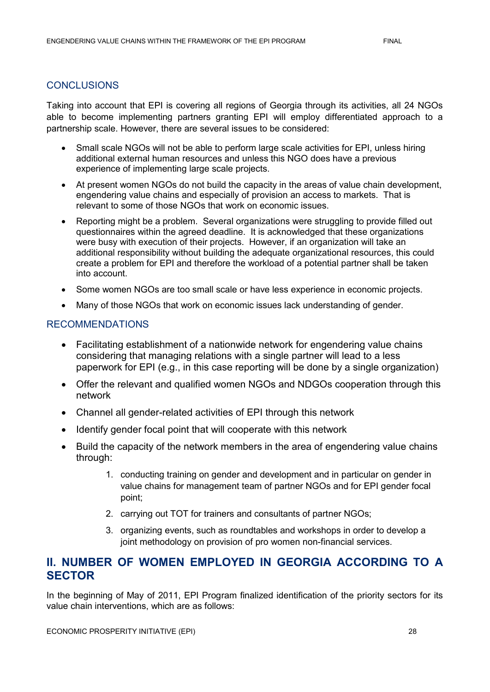#### **CONCLUSIONS**

Taking into account that EPI is covering all regions of Georgia through its activities, all 24 NGOs able to become implementing partners granting EPI will employ differentiated approach to a partnership scale. However, there are several issues to be considered:

- Small scale NGOs will not be able to perform large scale activities for EPI, unless hiring additional external human resources and unless this NGO does have a previous experience of implementing large scale projects.
- At present women NGOs do not build the capacity in the areas of value chain development, engendering value chains and especially of provision an access to markets. That is relevant to some of those NGOs that work on economic issues.
- Reporting might be a problem. Several organizations were struggling to provide filled out questionnaires within the agreed deadline. It is acknowledged that these organizations were busy with execution of their projects. However, if an organization will take an additional responsibility without building the adequate organizational resources, this could create a problem for EPI and therefore the workload of a potential partner shall be taken into account.
- Some women NGOs are too small scale or have less experience in economic projects.
- Many of those NGOs that work on economic issues lack understanding of gender.

#### RECOMMENDATIONS

- Facilitating establishment of a nationwide network for engendering value chains considering that managing relations with a single partner will lead to a less paperwork for EPI (e.g., in this case reporting will be done by a single organization)
- Offer the relevant and qualified women NGOs and NDGOs cooperation through this network
- Channel all gender-related activities of EPI through this network
- Identify gender focal point that will cooperate with this network
- Build the capacity of the network members in the area of engendering value chains through:
	- 1. conducting training on gender and development and in particular on gender in value chains for management team of partner NGOs and for EPI gender focal point;
	- 2. carrying out TOT for trainers and consultants of partner NGOs;
	- 3. organizing events, such as roundtables and workshops in order to develop a joint methodology on provision of pro women non-financial services.

### **II. NUMBER OF WOMEN EMPLOYED IN GEORGIA ACCORDING TO A SECTOR**

In the beginning of May of 2011, EPI Program finalized identification of the priority sectors for its value chain interventions, which are as follows: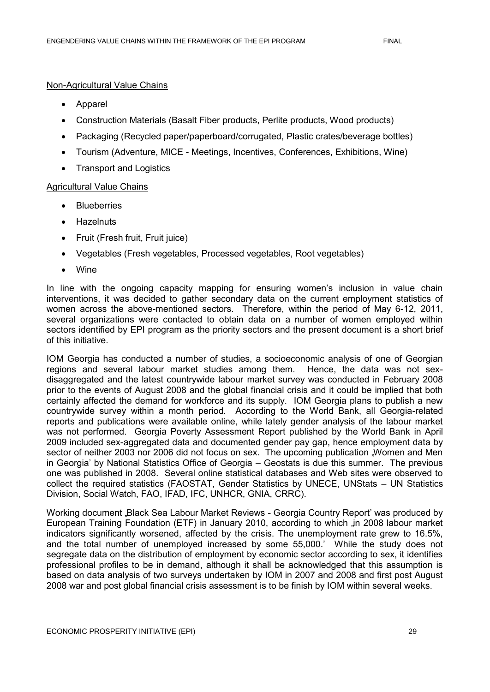#### Non-Agricultural Value Chains

- Apparel
- Construction Materials (Basalt Fiber products, Perlite products, Wood products)
- Packaging (Recycled paper/paperboard/corrugated, Plastic crates/beverage bottles)
- Tourism (Adventure, MICE Meetings, Incentives, Conferences, Exhibitions, Wine)
- Transport and Logistics

#### Agricultural Value Chains

- **Blueberries**
- **•** Hazelnuts
- Fruit (Fresh fruit, Fruit juice)
- Vegetables (Fresh vegetables, Processed vegetables, Root vegetables)
- Wine

In line with the ongoing capacity mapping for ensuring women's inclusion in value chain interventions, it was decided to gather secondary data on the current employment statistics of women across the above-mentioned sectors. Therefore, within the period of May 6-12, 2011, several organizations were contacted to obtain data on a number of women employed within sectors identified by EPI program as the priority sectors and the present document is a short brief of this initiative.

IOM Georgia has conducted a number of studies, a socioeconomic analysis of one of Georgian regions and several labour market studies among them. Hence, the data was not sexdisaggregated and the latest countrywide labour market survey was conducted in February 2008 prior to the events of August 2008 and the global financial crisis and it could be implied that both certainly affected the demand for workforce and its supply. IOM Georgia plans to publish a new countrywide survey within a month period. According to the World Bank, all Georgia-related reports and publications were available online, while lately gender analysis of the labour market was not performed. Georgia Poverty Assessment Report published by the World Bank in April 2009 included sex-aggregated data and documented gender pay gap, hence employment data by sector of neither 2003 nor 2006 did not focus on sex. The upcoming publication "Women and Men in Georgia" by National Statistics Office of Georgia – Geostats is due this summer. The previous one was published in 2008. Several online statistical databases and Web sites were observed to collect the required statistics (FAOSTAT, Gender Statistics by UNECE, UNStats – UN Statistics Division, Social Watch, FAO, IFAD, IFC, UNHCR, GNIA, CRRC).

Working document "Black Sea Labour Market Reviews - Georgia Country Report' was produced by European Training Foundation (ETF) in January 2010, according to which , in 2008 labour market indicators significantly worsened, affected by the crisis. The unemployment rate grew to 16.5%, and the total number of unemployed increased by some 55,000." While the study does not segregate data on the distribution of employment by economic sector according to sex, it identifies professional profiles to be in demand, although it shall be acknowledged that this assumption is based on data analysis of two surveys undertaken by IOM in 2007 and 2008 and first post August 2008 war and post global financial crisis assessment is to be finish by IOM within several weeks.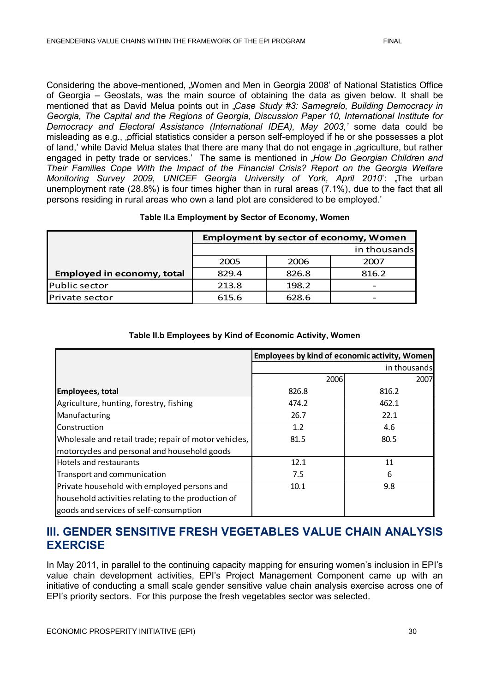Considering the above-mentioned, "Women and Men in Georgia 2008' of National Statistics Office of Georgia – Geostats, was the main source of obtaining the data as given below. It shall be mentioned that as David Melua points out in "*Case Study #3: Samegrelo, Building Democracy in Georgia, The Capital and the Regions of Georgia, Discussion Paper 10, International Institute for Democracy and Electoral Assistance (International IDEA), May 2003,'* some data could be misleading as e.g., "official statistics consider a person self-employed if he or she possesses a plot of land,' while David Melua states that there are many that do not engage in agriculture, but rather engaged in petty trade or services.' The same is mentioned in "How Do Georgian Children and *Their Families Cope With the Impact of the Financial Crisis? Report on the Georgia Welfare Monitoring Survey 2009, UNICEF Georgia University of York, April 2010*": "The urban unemployment rate (28.8%) is four times higher than in rural areas (7.1%), due to the fact that all persons residing in rural areas who own a land plot are considered to be employed."

#### **Table II.a Employment by Sector of Economy, Women**

|                                   | <b>Employment by sector of economy, Women</b> |       |              |  |  |
|-----------------------------------|-----------------------------------------------|-------|--------------|--|--|
|                                   |                                               |       | in thousands |  |  |
|                                   | 2005                                          | 2006  | 2007         |  |  |
| <b>Employed in economy, total</b> | 829.4                                         | 826.8 | 816.2        |  |  |
| Public sector                     | 213.8                                         | 198.2 |              |  |  |
| Private sector                    | 615.6                                         | 628.6 |              |  |  |

#### **Table II.b Employees by Kind of Economic Activity, Women**

|                                                       | Employees by kind of economic activity, Women |              |
|-------------------------------------------------------|-----------------------------------------------|--------------|
|                                                       |                                               | in thousands |
|                                                       | 2006                                          | 2007         |
| <b>Employees, total</b>                               | 826.8                                         | 816.2        |
| Agriculture, hunting, forestry, fishing               | 474.2                                         | 462.1        |
| Manufacturing                                         | 26.7                                          | 22.1         |
| Construction                                          | 1.2                                           | 4.6          |
| Wholesale and retail trade; repair of motor vehicles, | 81.5                                          | 80.5         |
| motorcycles and personal and household goods          |                                               |              |
| <b>Hotels and restaurants</b>                         | 12.1                                          | 11           |
| Transport and communication                           | 7.5                                           | 6            |
| Private household with employed persons and           | 10.1                                          | 9.8          |
| household activities relating to the production of    |                                               |              |
| goods and services of self-consumption                |                                               |              |

### **III. GENDER SENSITIVE FRESH VEGETABLES VALUE CHAIN ANALYSIS EXERCISE**

In May 2011, in parallel to the continuing capacity mapping for ensuring women's inclusion in EPI's value chain development activities, EPI"s Project Management Component came up with an initiative of conducting a small scale gender sensitive value chain analysis exercise across one of EPI"s priority sectors. For this purpose the fresh vegetables sector was selected.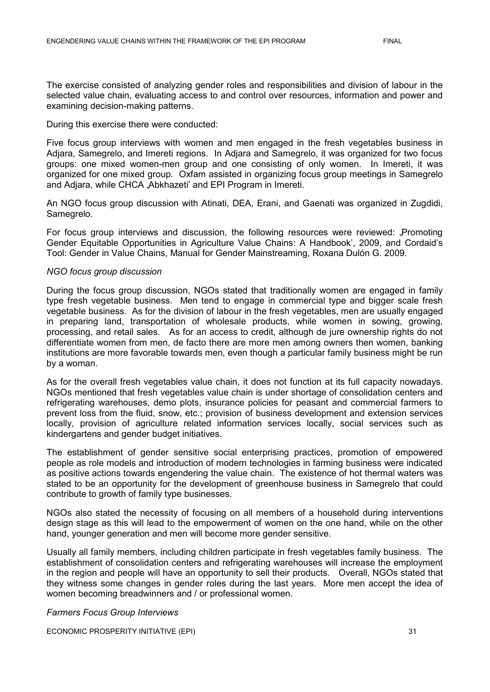The exercise consisted of analyzing gender roles and responsibilities and division of labour in the selected value chain, evaluating access to and control over resources, information and power and examining decision-making patterns.

#### During this exercise there were conducted:

Five focus group interviews with women and men engaged in the fresh vegetables business in Adjara, Samegrelo, and Imereti regions. In Adjara and Samegrelo, it was organized for two focus groups: one mixed women-men group and one consisting of only women. In Imereti, it was organized for one mixed group. Oxfam assisted in organizing focus group meetings in Samegrelo and Adjara, while CHCA "Abkhazeti' and EPI Program in Imereti.

An NGO focus group discussion with Atinati, DEA, Erani, and Gaenati was organized in Zugdidi, Samegrelo.

For focus group interviews and discussion, the following resources were reviewed: "Promoting Gender Equitable Opportunities in Agriculture Value Chains: A Handbook", 2009, and Cordaid"s Tool: Gender in Value Chains, Manual for Gender Mainstreaming, Roxana Dulón G. 2009.

#### *NGO focus group discussion*

During the focus group discussion, NGOs stated that traditionally women are engaged in family type fresh vegetable business. Men tend to engage in commercial type and bigger scale fresh vegetable business. As for the division of labour in the fresh vegetables, men are usually engaged in preparing land, transportation of wholesale products, while women in sowing, growing, processing, and retail sales. As for an access to credit, although de jure ownership rights do not differentiate women from men, de facto there are more men among owners then women, banking institutions are more favorable towards men, even though a particular family business might be run by a woman.

As for the overall fresh vegetables value chain, it does not function at its full capacity nowadays. NGOs mentioned that fresh vegetables value chain is under shortage of consolidation centers and refrigerating warehouses, demo plots, insurance policies for peasant and commercial farmers to prevent loss from the fluid, snow, etc.; provision of business development and extension services locally, provision of agriculture related information services locally, social services such as kindergartens and gender budget initiatives.

The establishment of gender sensitive social enterprising practices, promotion of empowered people as role models and introduction of modern technologies in farming business were indicated as positive actions towards engendering the value chain. The existence of hot thermal waters was stated to be an opportunity for the development of greenhouse business in Samegrelo that could contribute to growth of family type businesses.

NGOs also stated the necessity of focusing on all members of a household during interventions design stage as this will lead to the empowerment of women on the one hand, while on the other hand, younger generation and men will become more gender sensitive.

Usually all family members, including children participate in fresh vegetables family business. The establishment of consolidation centers and refrigerating warehouses will increase the employment in the region and people will have an opportunity to sell their products. Overall, NGOs stated that they witness some changes in gender roles during the last years. More men accept the idea of women becoming breadwinners and / or professional women.

#### *Farmers Focus Group Interviews*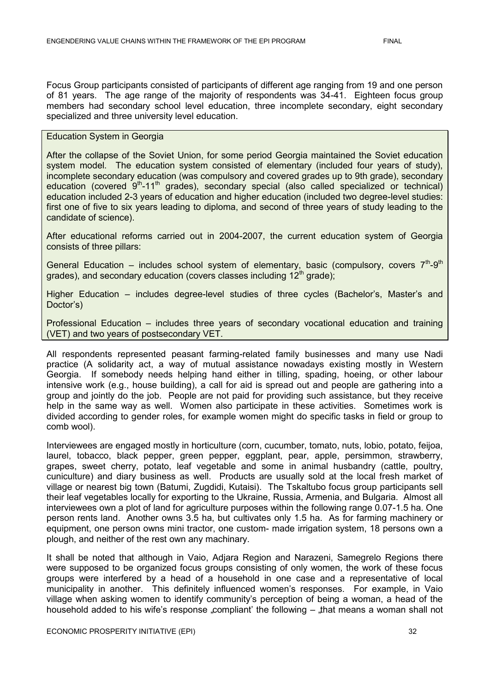Focus Group participants consisted of participants of different age ranging from 19 and one person of 81 years. The age range of the majority of respondents was 34-41. Eighteen focus group members had secondary school level education, three incomplete secondary, eight secondary specialized and three university level education.

#### Education System in Georgia

After the collapse of the Soviet Union, for some period Georgia maintained the Soviet education system model. The education system consisted of elementary (included four years of study), incomplete secondary education (was compulsory and covered grades up to 9th grade), secondary education (covered  $9<sup>th</sup> - 11<sup>th</sup>$  grades), secondary special (also called specialized or technical) education included 2-3 years of education and higher education (included two degree-level studies: first one of five to six years leading to diploma, and second of three years of study leading to the candidate of science).

After educational reforms carried out in 2004-2007, the current education system of Georgia consists of three pillars:

General Education – includes school system of elementary, basic (compulsory, covers  $7<sup>th</sup>-9<sup>th</sup>$ grades), and secondary education (covers classes including  $12<sup>th</sup>$  grade);

Higher Education – includes degree-level studies of three cycles (Bachelor"s, Master"s and Doctor's)

Professional Education – includes three years of secondary vocational education and training (VET) and two years of postsecondary VET.

All respondents represented peasant farming-related family businesses and many use Nadi practice (A solidarity act, a way of mutual assistance nowadays existing mostly in Western Georgia. If somebody needs helping hand either in tilling, spading, hoeing, or other labour intensive work (e.g., house building), a call for aid is spread out and people are gathering into a group and jointly do the job. People are not paid for providing such assistance, but they receive help in the same way as well. Women also participate in these activities. Sometimes work is divided according to gender roles, for example women might do specific tasks in field or group to comb wool).

Interviewees are engaged mostly in horticulture (corn, cucumber, tomato, nuts, lobio, potato, feijoa, laurel, tobacco, black pepper, green pepper, eggplant, pear, apple, persimmon, strawberry, grapes, sweet cherry, potato, leaf vegetable and some in animal husbandry (cattle, poultry, cuniculture) and diary business as well. Products are usually sold at the local fresh market of village or nearest big town (Batumi, Zugdidi, Kutaisi). The Tskaltubo focus group participants sell their leaf vegetables locally for exporting to the Ukraine, Russia, Armenia, and Bulgaria. Almost all interviewees own a plot of land for agriculture purposes within the following range 0.07-1.5 ha. One person rents land. Another owns 3.5 ha, but cultivates only 1.5 ha. As for farming machinery or equipment, one person owns mini tractor, one custom- made irrigation system, 18 persons own a plough, and neither of the rest own any machinary.

It shall be noted that although in Vaio, Adjara Region and Narazeni, Samegrelo Regions there were supposed to be organized focus groups consisting of only women, the work of these focus groups were interfered by a head of a household in one case and a representative of local municipality in another. This definitely influenced women"s responses. For example, in Vaio village when asking women to identify community"s perception of being a woman, a head of the household added to his wife's response "compliant' the following  $-$  "that means a woman shall not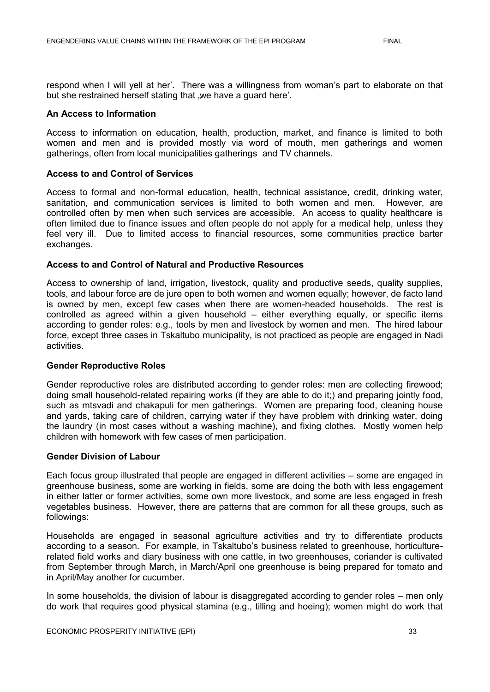respond when I will yell at her". There was a willingness from woman"s part to elaborate on that but she restrained herself stating that we have a quard here'.

#### **An Access to Information**

Access to information on education, health, production, market, and finance is limited to both women and men and is provided mostly via word of mouth, men gatherings and women gatherings, often from local municipalities gatherings and TV channels.

#### **Access to and Control of Services**

Access to formal and non-formal education, health, technical assistance, credit, drinking water, sanitation, and communication services is limited to both women and men. However, are controlled often by men when such services are accessible. An access to quality healthcare is often limited due to finance issues and often people do not apply for a medical help, unless they feel very ill. Due to limited access to financial resources, some communities practice barter exchanges.

#### **Access to and Control of Natural and Productive Resources**

Access to ownership of land, irrigation, livestock, quality and productive seeds, quality supplies, tools, and labour force are de jure open to both women and women equally; however, de facto land is owned by men, except few cases when there are women-headed households. The rest is controlled as agreed within a given household – either everything equally, or specific items according to gender roles: e.g., tools by men and livestock by women and men. The hired labour force, except three cases in Tskaltubo municipality, is not practiced as people are engaged in Nadi activities.

#### **Gender Reproductive Roles**

Gender reproductive roles are distributed according to gender roles: men are collecting firewood; doing small household-related repairing works (if they are able to do it;) and preparing jointly food, such as mtsvadi and chakapuli for men gatherings. Women are preparing food, cleaning house and yards, taking care of children, carrying water if they have problem with drinking water, doing the laundry (in most cases without a washing machine), and fixing clothes. Mostly women help children with homework with few cases of men participation.

#### **Gender Division of Labour**

Each focus group illustrated that people are engaged in different activities – some are engaged in greenhouse business, some are working in fields, some are doing the both with less engagement in either latter or former activities, some own more livestock, and some are less engaged in fresh vegetables business. However, there are patterns that are common for all these groups, such as followings:

Households are engaged in seasonal agriculture activities and try to differentiate products according to a season. For example, in Tskaltubo"s business related to greenhouse, horticulturerelated field works and diary business with one cattle, in two greenhouses, coriander is cultivated from September through March, in March/April one greenhouse is being prepared for tomato and in April/May another for cucumber.

In some households, the division of labour is disaggregated according to gender roles – men only do work that requires good physical stamina (e.g., tilling and hoeing); women might do work that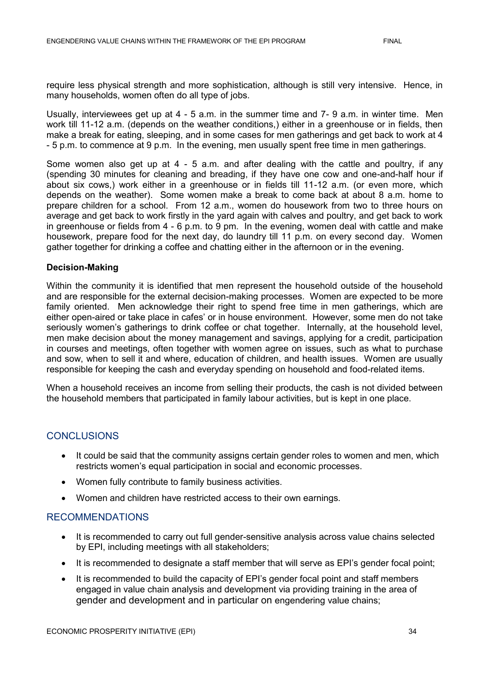require less physical strength and more sophistication, although is still very intensive. Hence, in many households, women often do all type of jobs.

Usually, interviewees get up at 4 - 5 a.m. in the summer time and 7- 9 a.m. in winter time. Men work till 11-12 a.m. (depends on the weather conditions,) either in a greenhouse or in fields, then make a break for eating, sleeping, and in some cases for men gatherings and get back to work at 4 - 5 p.m. to commence at 9 p.m. In the evening, men usually spent free time in men gatherings.

Some women also get up at 4 - 5 a.m. and after dealing with the cattle and poultry, if any (spending 30 minutes for cleaning and breading, if they have one cow and one-and-half hour if about six cows,) work either in a greenhouse or in fields till 11-12 a.m. (or even more, which depends on the weather). Some women make a break to come back at about 8 a.m. home to prepare children for a school. From 12 a.m., women do housework from two to three hours on average and get back to work firstly in the yard again with calves and poultry, and get back to work in greenhouse or fields from 4 - 6 p.m. to 9 pm. In the evening, women deal with cattle and make housework, prepare food for the next day, do laundry till 11 p.m. on every second day. Women gather together for drinking a coffee and chatting either in the afternoon or in the evening.

#### **Decision-Making**

Within the community it is identified that men represent the household outside of the household and are responsible for the external decision-making processes. Women are expected to be more family oriented. Men acknowledge their right to spend free time in men gatherings, which are either open-aired or take place in cafes" or in house environment. However, some men do not take seriously women's gatherings to drink coffee or chat together. Internally, at the household level, men make decision about the money management and savings, applying for a credit, participation in courses and meetings, often together with women agree on issues, such as what to purchase and sow, when to sell it and where, education of children, and health issues. Women are usually responsible for keeping the cash and everyday spending on household and food-related items.

When a household receives an income from selling their products, the cash is not divided between the household members that participated in family labour activities, but is kept in one place.

#### **CONCLUSIONS**

- It could be said that the community assigns certain gender roles to women and men, which restricts women"s equal participation in social and economic processes.
- Women fully contribute to family business activities.
- Women and children have restricted access to their own earnings.

#### RECOMMENDATIONS

- It is recommended to carry out full gender-sensitive analysis across value chains selected by EPI, including meetings with all stakeholders;
- It is recommended to designate a staff member that will serve as EPI's gender focal point;
- It is recommended to build the capacity of EPI's gender focal point and staff members engaged in value chain analysis and development via providing training in the area of gender and development and in particular on engendering value chains;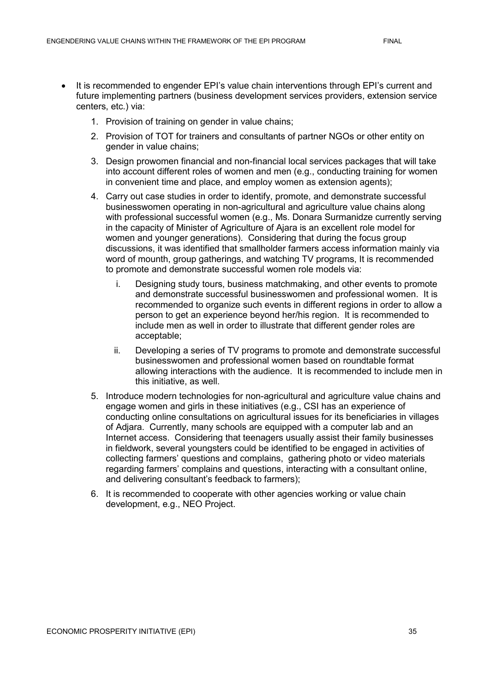- It is recommended to engender EPI's value chain interventions through EPI's current and future implementing partners (business development services providers, extension service centers, etc.) via:
	- 1. Provision of training on gender in value chains;
	- 2. Provision of TOT for trainers and consultants of partner NGOs or other entity on gender in value chains;
	- 3. Design prowomen financial and non-financial local services packages that will take into account different roles of women and men (e.g., conducting training for women in convenient time and place, and employ women as extension agents);
	- 4. Carry out case studies in order to identify, promote, and demonstrate successful businesswomen operating in non-agricultural and agriculture value chains along with professional successful women (e.g., Ms. Donara Surmanidze currently serving in the capacity of Minister of Agriculture of Ajara is an excellent role model for women and younger generations). Considering that during the focus group discussions, it was identified that smallholder farmers access information mainly via word of mounth, group gatherings, and watching TV programs, It is recommended to promote and demonstrate successful women role models via:
		- i. Designing study tours, business matchmaking, and other events to promote and demonstrate successful businesswomen and professional women. It is recommended to organize such events in different regions in order to allow a person to get an experience beyond her/his region. It is recommended to include men as well in order to illustrate that different gender roles are acceptable;
		- ii. Developing a series of TV programs to promote and demonstrate successful businesswomen and professional women based on roundtable format allowing interactions with the audience. It is recommended to include men in this initiative, as well.
	- 5. Introduce modern technologies for non-agricultural and agriculture value chains and engage women and girls in these initiatives (e.g., CSI has an experience of conducting online consultations on agricultural issues for its beneficiaries in villages of Adjara. Currently, many schools are equipped with a computer lab and an Internet access. Considering that teenagers usually assist their family businesses in fieldwork, several youngsters could be identified to be engaged in activities of collecting farmers" questions and complains, gathering photo or video materials regarding farmers" complains and questions, interacting with a consultant online, and delivering consultant's feedback to farmers);
	- 6. It is recommended to cooperate with other agencies working or value chain development, e.g., NEO Project.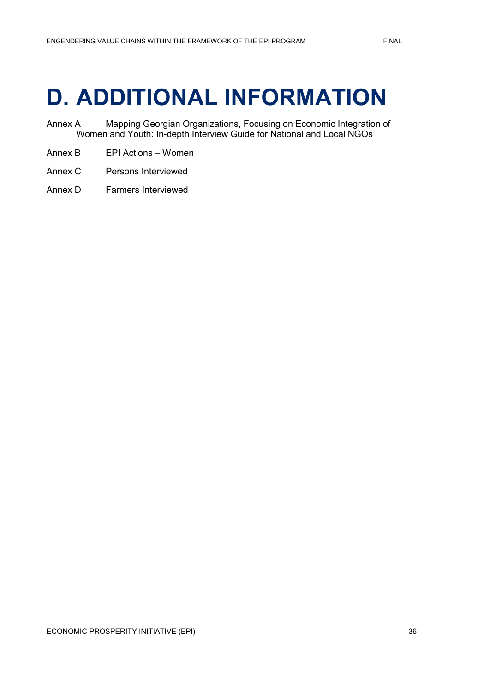## <span id="page-44-0"></span>**D. ADDITIONAL INFORMATION**

- Annex A Mapping Georgian Organizations, Focusing on Economic Integration of Women and Youth: In-depth Interview Guide for National and Local NGOs
- Annex B EPI Actions Women
- Annex C Persons Interviewed
- Annex D Farmers Interviewed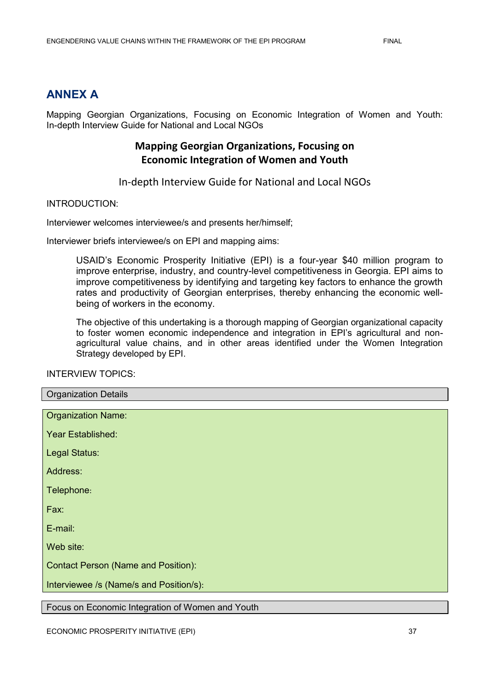### **ANNEX A**

Mapping Georgian Organizations, Focusing on Economic Integration of Women and Youth: In-depth Interview Guide for National and Local NGOs

### **Mapping Georgian Organizations, Focusing on Economic Integration of Women and Youth**

In-depth Interview Guide for National and Local NGOs

#### INTRODUCTION:

Interviewer welcomes interviewee/s and presents her/himself;

Interviewer briefs interviewee/s on EPI and mapping aims:

USAID"s Economic Prosperity Initiative (EPI) is a four-year \$40 million program to improve enterprise, industry, and country-level competitiveness in Georgia. EPI aims to improve competitiveness by identifying and targeting key factors to enhance the growth rates and productivity of Georgian enterprises, thereby enhancing the economic wellbeing of workers in the economy.

The objective of this undertaking is a thorough mapping of Georgian organizational capacity to foster women economic independence and integration in EPI's agricultural and nonagricultural value chains, and in other areas identified under the Women Integration Strategy developed by EPI.

#### INTERVIEW TOPICS:

| <b>Organization Details</b>                |
|--------------------------------------------|
|                                            |
| <b>Organization Name:</b>                  |
|                                            |
| Year Established:                          |
|                                            |
| Legal Status:                              |
| Address:                                   |
|                                            |
| Telephone:                                 |
|                                            |
| Fax:                                       |
|                                            |
| E-mail:                                    |
|                                            |
| Web site:                                  |
|                                            |
| <b>Contact Person (Name and Position):</b> |
| Interviewee /s (Name/s and Position/s):    |
|                                            |

Focus on Economic Integration of Women and Youth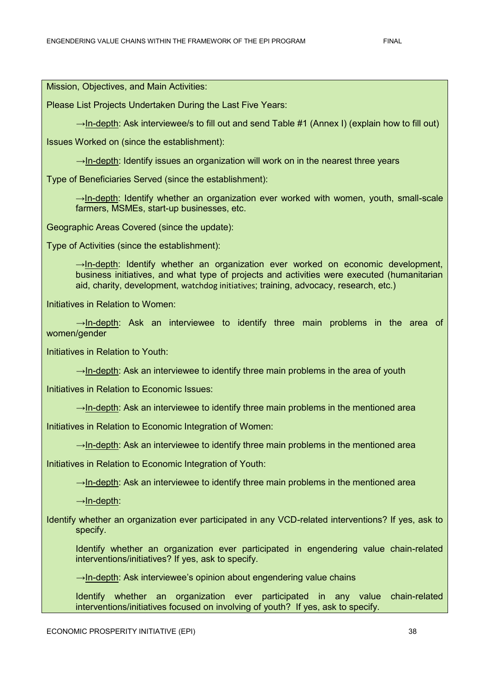Mission, Objectives, and Main Activities:

Please List Projects Undertaken During the Last Five Years:

 $\rightarrow$ In-depth: Ask interviewee/s to fill out and send Table #1 (Annex I) (explain how to fill out)

Issues Worked on (since the establishment):

 $\rightarrow$ In-depth: Identify issues an organization will work on in the nearest three years

Type of Beneficiaries Served (since the establishment):

 $\rightarrow$ In-depth: Identify whether an organization ever worked with women, youth, small-scale farmers, MSMEs, start-up businesses, etc.

Geographic Areas Covered (since the update):

Type of Activities (since the establishment):

 $\rightarrow$ In-depth: Identify whether an organization ever worked on economic development, business initiatives, and what type of projects and activities were executed (humanitarian aid, charity, development, watchdog initiatives; training, advocacy, research, etc.)

Initiatives in Relation to Women:

 $\rightarrow$ In-depth: Ask an interviewee to identify three main problems in the area of women/gender

Initiatives in Relation to Youth:

 $\rightarrow$ In-depth: Ask an interviewee to identify three main problems in the area of youth

Initiatives in Relation to Economic Issues:

 $\rightarrow$ In-depth: Ask an interviewee to identify three main problems in the mentioned area

Initiatives in Relation to Economic Integration of Women:

 $\rightarrow$ In-depth: Ask an interviewee to identify three main problems in the mentioned area

Initiatives in Relation to Economic Integration of Youth:

 $\rightarrow$ In-depth: Ask an interviewee to identify three main problems in the mentioned area

→In-depth:

Identify whether an organization ever participated in any VCD-related interventions? If yes, ask to specify.

Identify whether an organization ever participated in engendering value chain-related interventions/initiatives? If yes, ask to specify.

 $\rightarrow$ In-depth: Ask interviewee's opinion about engendering value chains

Identify whether an organization ever participated in any value chain-related interventions/initiatives focused on involving of youth? If yes, ask to specify.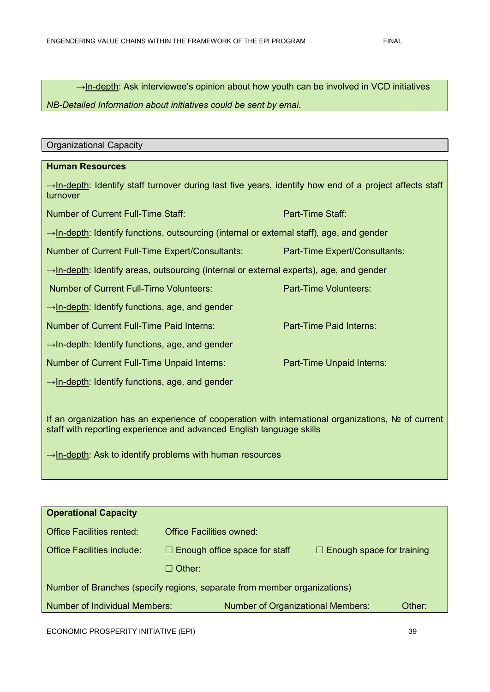→In-depth: Ask interviewee's opinion about how youth can be involved in VCD initiatives

*NB-Detailed Information about initiatives could be sent by emai.*

| <b>Organizational Capacity</b>                                                                                                                                              |                               |  |  |  |
|-----------------------------------------------------------------------------------------------------------------------------------------------------------------------------|-------------------------------|--|--|--|
|                                                                                                                                                                             |                               |  |  |  |
| <b>Human Resources</b>                                                                                                                                                      |                               |  |  |  |
| $\rightarrow$ In-depth: Identify staff turnover during last five years, identify how end of a project affects staff<br>turnover                                             |                               |  |  |  |
| <b>Number of Current Full-Time Staff:</b>                                                                                                                                   | Part-Time Staff:              |  |  |  |
| $\rightarrow$ In-depth: Identify functions, outsourcing (internal or external staff), age, and gender                                                                       |                               |  |  |  |
| Number of Current Full-Time Expert/Consultants:                                                                                                                             | Part-Time Expert/Consultants: |  |  |  |
| →In-depth: Identify areas, outsourcing (internal or external experts), age, and gender                                                                                      |                               |  |  |  |
| <b>Number of Current Full-Time Volunteers:</b>                                                                                                                              | <b>Part-Time Volunteers:</b>  |  |  |  |
| $\rightarrow$ In-depth: Identify functions, age, and gender                                                                                                                 |                               |  |  |  |
| Number of Current Full-Time Paid Interns:                                                                                                                                   | Part-Time Paid Interns:       |  |  |  |
| →In-depth: Identify functions, age, and gender                                                                                                                              |                               |  |  |  |
| Number of Current Full-Time Unpaid Interns:                                                                                                                                 | Part-Time Unpaid Interns:     |  |  |  |
| $\rightarrow$ In-depth: Identify functions, age, and gender                                                                                                                 |                               |  |  |  |
|                                                                                                                                                                             |                               |  |  |  |
| If an organization has an experience of cooperation with international organizations, No of current<br>staff with reporting experience and advanced English language skills |                               |  |  |  |
| $\rightarrow$ In-depth: Ask to identify problems with human resources                                                                                                       |                               |  |  |  |

| <b>Operational Capacity</b>                                              |                                          |                                  |  |  |  |
|--------------------------------------------------------------------------|------------------------------------------|----------------------------------|--|--|--|
| <b>Office Facilities rented:</b>                                         | <b>Office Facilities owned:</b>          |                                  |  |  |  |
| <b>Office Facilities include:</b>                                        | $\Box$ Enough office space for staff     | $\Box$ Enough space for training |  |  |  |
|                                                                          | $\Box$ Other:                            |                                  |  |  |  |
| Number of Branches (specify regions, separate from member organizations) |                                          |                                  |  |  |  |
| <b>Number of Individual Members:</b>                                     | <b>Number of Organizational Members:</b> | Other:                           |  |  |  |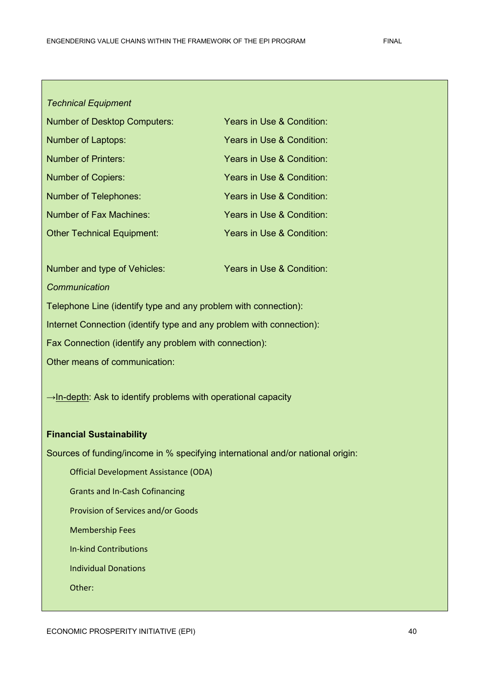#### *Technical Equipment*

| <b>Number of Desktop Computers:</b> | Years in Use & Condition: |
|-------------------------------------|---------------------------|
| Number of Laptops:                  | Years in Use & Condition: |
| <b>Number of Printers:</b>          | Years in Use & Condition: |
| <b>Number of Copiers:</b>           | Years in Use & Condition: |
| <b>Number of Telephones:</b>        | Years in Use & Condition: |
| <b>Number of Fax Machines:</b>      | Years in Use & Condition: |
| <b>Other Technical Equipment:</b>   | Years in Use & Condition: |

Number and type of Vehicles: Years in Use & Condition: *Communication*

Telephone Line (identify type and any problem with connection):

Internet Connection (identify type and any problem with connection):

Fax Connection (identify any problem with connection):

Other means of communication:

→In-depth: Ask to identify problems with operational capacity

#### **Financial Sustainability**

Sources of funding/income in % specifying international and/or national origin:

Official Development Assistance (ODA)

Grants and In-Cash Cofinancing

Provision of Services and/or Goods

Membership Fees

In-kind Contributions

Individual Donations

Other: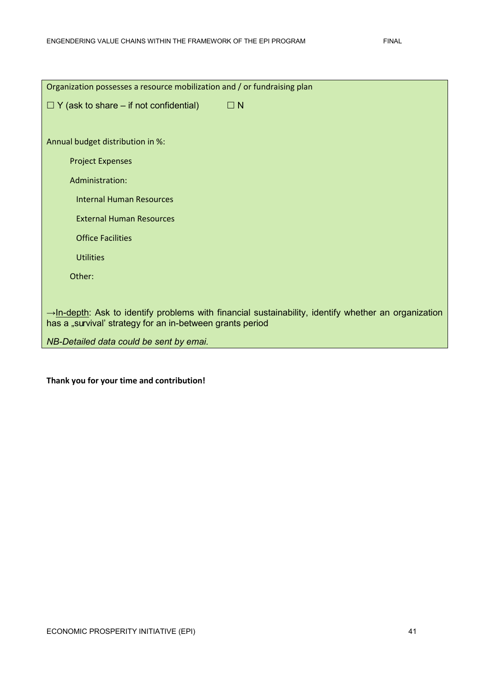| Organization possesses a resource mobilization and / or fundraising plan                                                                                                      |  |  |  |  |  |  |
|-------------------------------------------------------------------------------------------------------------------------------------------------------------------------------|--|--|--|--|--|--|
| $\Box N$<br>$\Box$ Y (ask to share – if not confidential)                                                                                                                     |  |  |  |  |  |  |
|                                                                                                                                                                               |  |  |  |  |  |  |
| Annual budget distribution in %:                                                                                                                                              |  |  |  |  |  |  |
| <b>Project Expenses</b>                                                                                                                                                       |  |  |  |  |  |  |
| Administration:                                                                                                                                                               |  |  |  |  |  |  |
| <b>Internal Human Resources</b>                                                                                                                                               |  |  |  |  |  |  |
| <b>External Human Resources</b>                                                                                                                                               |  |  |  |  |  |  |
| <b>Office Facilities</b>                                                                                                                                                      |  |  |  |  |  |  |
| <b>Utilities</b>                                                                                                                                                              |  |  |  |  |  |  |
| Other:                                                                                                                                                                        |  |  |  |  |  |  |
|                                                                                                                                                                               |  |  |  |  |  |  |
| $\rightarrow$ In-depth: Ask to identify problems with financial sustainability, identify whether an organization<br>has a "survival' strategy for an in-between grants period |  |  |  |  |  |  |
| NB-Detailed data could be sent by emai.                                                                                                                                       |  |  |  |  |  |  |

### **Thank you for your time and contribution!**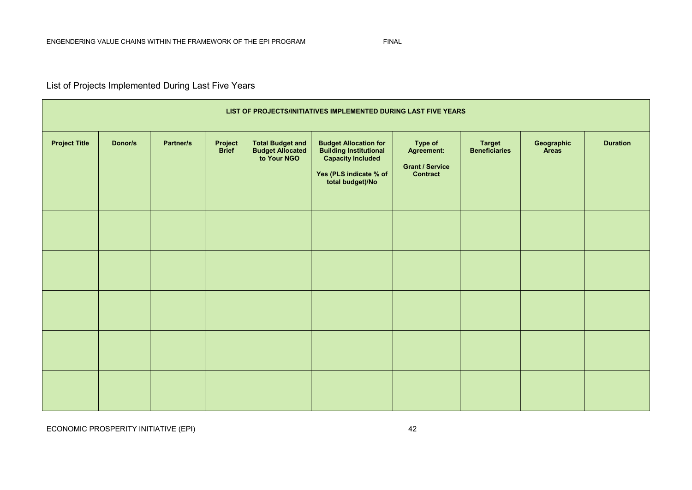### List of Projects Implemented During Last Five Years

| LIST OF PROJECTS/INITIATIVES IMPLEMENTED DURING LAST FIVE YEARS |         |           |                         |                                                                    |                                                                                                                             |                                                                    |                                       |                     |                 |
|-----------------------------------------------------------------|---------|-----------|-------------------------|--------------------------------------------------------------------|-----------------------------------------------------------------------------------------------------------------------------|--------------------------------------------------------------------|---------------------------------------|---------------------|-----------------|
| <b>Project Title</b>                                            | Donor/s | Partner/s | Project<br><b>Brief</b> | <b>Total Budget and</b><br><b>Budget Allocated<br/>to Your NGO</b> | <b>Budget Allocation for<br/>Building Institutional<br/>Capacity Included</b><br>Yes (PLS indicate % of<br>total budget)/No | Type of<br>Agreement:<br><b>Grant / Service</b><br><b>Contract</b> | <b>Target</b><br><b>Beneficiaries</b> | Geographic<br>Areas | <b>Duration</b> |
|                                                                 |         |           |                         |                                                                    |                                                                                                                             |                                                                    |                                       |                     |                 |
|                                                                 |         |           |                         |                                                                    |                                                                                                                             |                                                                    |                                       |                     |                 |
|                                                                 |         |           |                         |                                                                    |                                                                                                                             |                                                                    |                                       |                     |                 |
|                                                                 |         |           |                         |                                                                    |                                                                                                                             |                                                                    |                                       |                     |                 |
|                                                                 |         |           |                         |                                                                    |                                                                                                                             |                                                                    |                                       |                     |                 |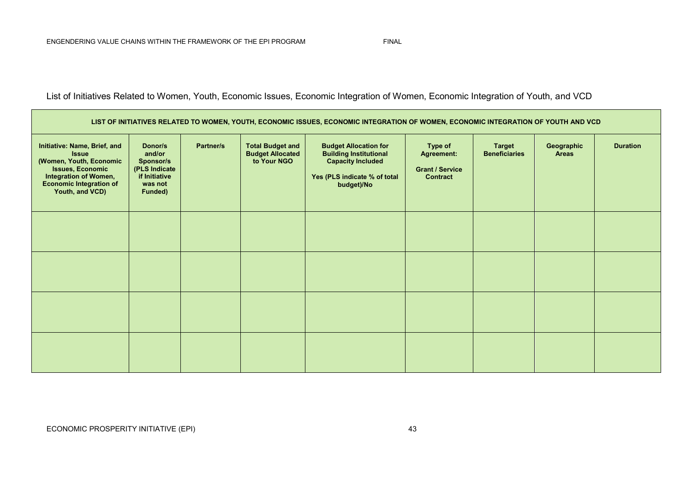List of Initiatives Related to Women, Youth, Economic Issues, Economic Integration of Women, Economic Integration of Youth, and VCD

| LIST OF INITIATIVES RELATED TO WOMEN, YOUTH, ECONOMIC ISSUES, ECONOMIC INTEGRATION OF WOMEN, ECONOMIC INTEGRATION OF YOUTH AND VCD                                                      |                                                                                        |           |                                                                   |                                                                                                                                         |                                                                           |                                       |                            |                 |
|-----------------------------------------------------------------------------------------------------------------------------------------------------------------------------------------|----------------------------------------------------------------------------------------|-----------|-------------------------------------------------------------------|-----------------------------------------------------------------------------------------------------------------------------------------|---------------------------------------------------------------------------|---------------------------------------|----------------------------|-----------------|
| Initiative: Name, Brief, and<br><b>Issue</b><br>(Women, Youth, Economic<br><b>Issues, Economic</b><br><b>Integration of Women,</b><br><b>Economic Integration of</b><br>Youth, and VCD) | Donor/s<br>and/or<br>Sponsor/s<br>(PLS Indicate<br>if Initiative<br>was not<br>Funded) | Partner/s | <b>Total Budget and</b><br><b>Budget Allocated</b><br>to Your NGO | <b>Budget Allocation for</b><br><b>Building Institutional</b><br><b>Capacity Included</b><br>Yes (PLS indicate % of total<br>budget)/No | Type of<br><b>Agreement:</b><br><b>Grant / Service</b><br><b>Contract</b> | <b>Target</b><br><b>Beneficiaries</b> | Geographic<br><b>Areas</b> | <b>Duration</b> |
|                                                                                                                                                                                         |                                                                                        |           |                                                                   |                                                                                                                                         |                                                                           |                                       |                            |                 |
|                                                                                                                                                                                         |                                                                                        |           |                                                                   |                                                                                                                                         |                                                                           |                                       |                            |                 |
|                                                                                                                                                                                         |                                                                                        |           |                                                                   |                                                                                                                                         |                                                                           |                                       |                            |                 |
|                                                                                                                                                                                         |                                                                                        |           |                                                                   |                                                                                                                                         |                                                                           |                                       |                            |                 |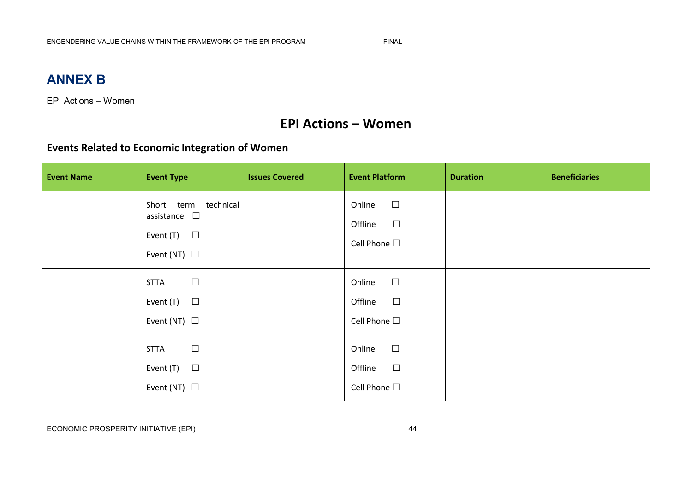## **ANNEX B**

EPI Actions – Women

## **EPI Actions – Women**

### **Events Related to Economic Integration of Women**

| <b>Event Name</b> | <b>Event Type</b>                                                                          | <b>Issues Covered</b> | <b>Event Platform</b>                                      | <b>Duration</b> | <b>Beneficiaries</b> |
|-------------------|--------------------------------------------------------------------------------------------|-----------------------|------------------------------------------------------------|-----------------|----------------------|
|                   | Short term technical<br>assistance $\quad \Box$<br>Event $(T)$ $\Box$<br>Event (NT) $\Box$ |                       | $\Box$<br>Online<br>$\Box$<br>Offline<br>Cell Phone $\Box$ |                 |                      |
|                   | $\Box$<br><b>STTA</b><br>Event $(T)$ $\Box$<br>Event (NT) $\Box$                           |                       | $\Box$<br>Online<br>$\Box$<br>Offline<br>Cell Phone $\Box$ |                 |                      |
|                   | $\Box$<br><b>STTA</b><br>$\Box$<br>Event (T)<br>Event (NT) $\Box$                          |                       | $\Box$<br>Online<br>$\Box$<br>Offline<br>Cell Phone $\Box$ |                 |                      |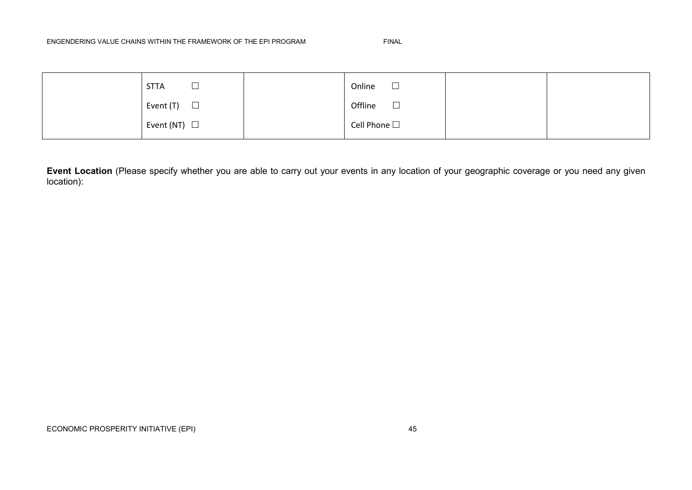#### ENGENDERING VALUE CHAINS WITHIN THE FRAMEWORK OF THE EPI PROGRAM FINAL

| <b>STTA</b><br>ىسا | Online<br>$\Box$  |  |
|--------------------|-------------------|--|
| Event (T)<br>ப     | $\Box$<br>Offline |  |
| Event (NT) $\Box$  | Cell Phone $\Box$ |  |

**Event Location** (Please specify whether you are able to carry out your events in any location of your geographic coverage or you need any given location):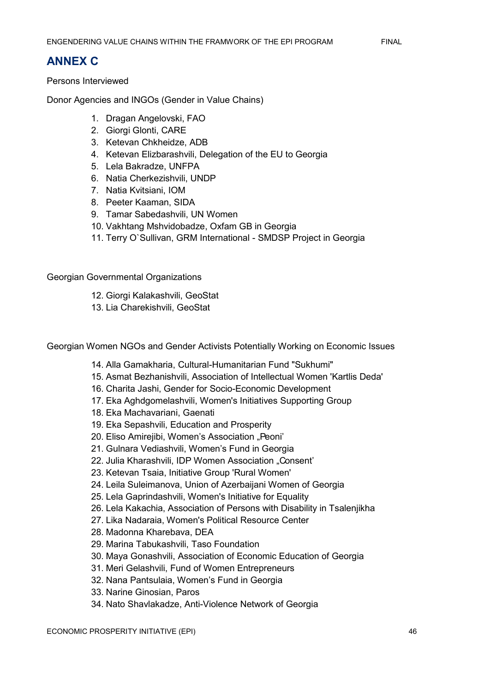### **ANNEX C**

Persons Interviewed

Donor Agencies and INGOs (Gender in Value Chains)

- 1. Dragan Angelovski, FAO
- 2. Giorgi Glonti, CARE
- 3. Ketevan Chkheidze, ADB
- 4. Ketevan Elizbarashvili, Delegation of the EU to Georgia
- 5. Lela Bakradze, UNFPA
- 6. Natia Cherkezishvili, UNDP
- 7. Natia Kvitsiani, IOM
- 8. Peeter Kaaman, SIDA
- 9. Tamar Sabedashvili, UN Women
- 10. Vakhtang Mshvidobadze, Oxfam GB in Georgia
- 11. Terry O`Sullivan, GRM International SMDSP Project in Georgia

Georgian Governmental Organizations

- 12. Giorgi Kalakashvili, GeoStat
- 13. Lia Charekishvili, GeoStat

Georgian Women NGOs and Gender Activists Potentially Working on Economic Issues

- 14. Alla Gamakharia, Cultural-Humanitarian Fund "Sukhumi"
- 15. Asmat Bezhanishvili, Association of Intellectual Women 'Kartlis Deda'
- 16. Charita Jashi, Gender for Socio-Economic Development
- 17. Eka Aghdgomelashvili, Women's Initiatives Supporting Group
- 18. Eka Machavariani, Gaenati
- 19. Eka Sepashvili, Education and Prosperity
- 20. Eliso Amirejibi, Women's Association "Peoni'
- 21. Gulnara Vediashvili, Women"s Fund in Georgia
- 22. Julia Kharashvili, IDP Women Association "Consent'
- 23. Ketevan Tsaia, Initiative Group 'Rural Women'
- 24. Leila Suleimanova, Union of Azerbaijani Women of Georgia
- 25. Lela Gaprindashvili, Women's Initiative for Equality
- 26. Lela Kakachia, Association of Persons with Disability in Tsalenjikha
- 27. Lika Nadaraia, Women's Political Resource Center
- 28. Madonna Kharebava, DEA
- 29. Marina Tabukashvili, Taso Foundation
- 30. Maya Gonashvili, Association of Economic Education of Georgia
- 31. Meri Gelashvili, Fund of Women Entrepreneurs
- 32. Nana Pantsulaia, Women"s Fund in Georgia
- 33. Narine Ginosian, Paros
- 34. Nato Shavlakadze, Anti-Violence Network of Georgia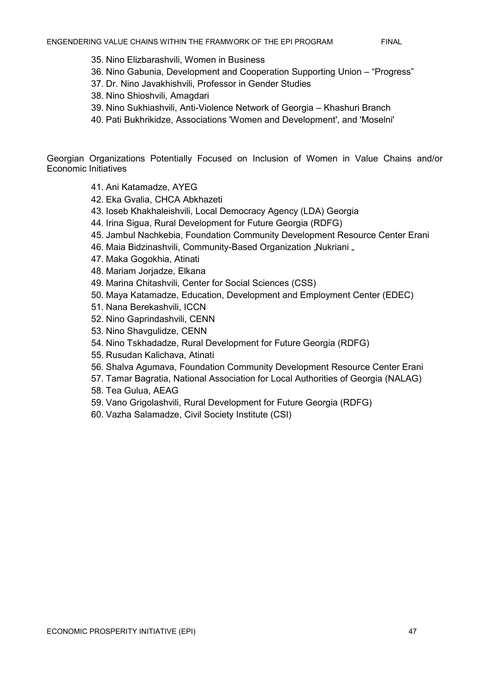- 35. Nino Elizbarashvili, Women in Business
- 36. Nino Gabunia, Development and Cooperation Supporting Union "Progress"
- 37. Dr. Nino Javakhishvili, Professor in Gender Studies
- 38. Nino Shioshvili, Amagdari
- 39. Nino Sukhiashvili, Anti-Violence Network of Georgia Khashuri Branch
- 40. Pati Bukhrikidze, Associations 'Women and Development', and 'Moselni'

Georgian Organizations Potentially Focused on Inclusion of Women in Value Chains and/or Economic Initiatives

- 41. Ani Katamadze, AYEG
- 42. Eka Gvalia, CHCA Abkhazeti
- 43. Ioseb Khakhaleishvili, Local Democracy Agency (LDA) Georgia
- 44. Irina Sigua, Rural Development for Future Georgia (RDFG)
- 45. Jambul Nachkebia, Foundation Community Development Resource Center Erani
- 46. Maia Bidzinashvili, Community-Based Organization "Nukriani "
- 47. Maka Gogokhia, Atinati
- 48. Mariam Jorjadze, Elkana
- 49. Marina Chitashvili, Center for Social Sciences (CSS)
- 50. Maya Katamadze, Education, Development and Employment Center (EDEC)
- 51. Nana Berekashvili, ICCN
- 52. Nino Gaprindashvili, CENN
- 53. Nino Shavgulidze, CENN
- 54. Nino Tskhadadze, Rural Development for Future Georgia (RDFG)
- 55. Rusudan Kalichava, Atinati
- 56. Shalva Agumava, Foundation Community Development Resource Center Erani
- 57. Tamar Bagratia, National Association for Local Authorities of Georgia (NALAG)
- 58. Tea Gulua, AEAG
- 59. Vano Grigolashvili, Rural Development for Future Georgia (RDFG)
- 60. Vazha Salamadze, Civil Society Institute (CSI)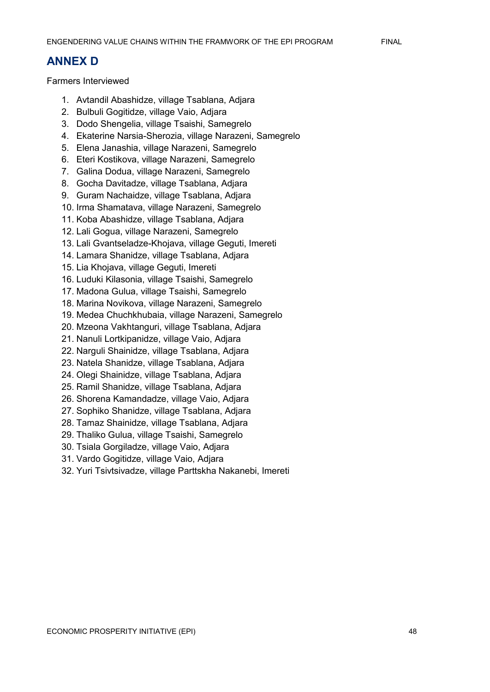### **ANNEX D**

Farmers Interviewed

- 1. Avtandil Abashidze, village Tsablana, Adjara
- 2. Bulbuli Gogitidze, village Vaio, Adjara
- 3. Dodo Shengelia, village Tsaishi, Samegrelo
- 4. Ekaterine Narsia-Sherozia, village Narazeni, Samegrelo
- 5. Elena Janashia, village Narazeni, Samegrelo
- 6. Eteri Kostikova, village Narazeni, Samegrelo
- 7. Galina Dodua, village Narazeni, Samegrelo
- 8. Gocha Davitadze, village Tsablana, Adjara
- 9. Guram Nachaidze, village Tsablana, Adjara
- 10. Irma Shamatava, village Narazeni, Samegrelo
- 11. Koba Abashidze, village Tsablana, Adjara
- 12. Lali Gogua, village Narazeni, Samegrelo
- 13. Lali Gvantseladze-Khojava, village Geguti, Imereti
- 14. Lamara Shanidze, village Tsablana, Adjara
- 15. Lia Khojava, village Geguti, Imereti
- 16. Luduki Kilasonia, village Tsaishi, Samegrelo
- 17. Madona Gulua, village Tsaishi, Samegrelo
- 18. Marina Novikova, village Narazeni, Samegrelo
- 19. Medea Chuchkhubaia, village Narazeni, Samegrelo
- 20. Mzeona Vakhtanguri, village Tsablana, Adjara
- 21. Nanuli Lortkipanidze, village Vaio, Adjara
- 22. Narguli Shainidze, village Tsablana, Adjara
- 23. Natela Shanidze, village Tsablana, Adjara
- 24. Olegi Shainidze, village Tsablana, Adjara
- 25. Ramil Shanidze, village Tsablana, Adjara
- 26. Shorena Kamandadze, village Vaio, Adjara
- 27. Sophiko Shanidze, village Tsablana, Adjara
- 28. Tamaz Shainidze, village Tsablana, Adjara
- 29. Thaliko Gulua, village Tsaishi, Samegrelo
- 30. Tsiala Gorgiladze, village Vaio, Adjara
- 31. Vardo Gogitidze, village Vaio, Adjara
- 32. Yuri Tsivtsivadze, village Parttskha Nakanebi, Imereti